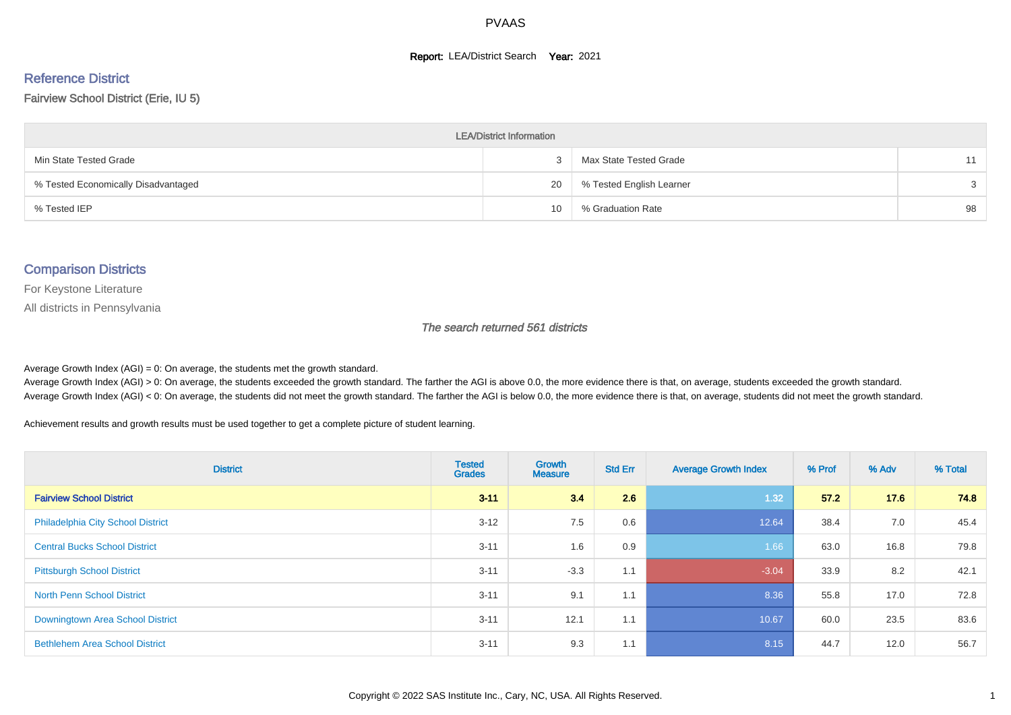#### **Report: LEA/District Search Year: 2021**

# Reference District

#### Fairview School District (Erie, IU 5)

| <b>LEA/District Information</b>     |    |                          |    |  |  |  |  |  |  |  |
|-------------------------------------|----|--------------------------|----|--|--|--|--|--|--|--|
| Min State Tested Grade              |    | Max State Tested Grade   | 11 |  |  |  |  |  |  |  |
| % Tested Economically Disadvantaged | 20 | % Tested English Learner | 3  |  |  |  |  |  |  |  |
| % Tested IEP                        | 10 | % Graduation Rate        | 98 |  |  |  |  |  |  |  |

#### Comparison Districts

For Keystone Literature

All districts in Pennsylvania

The search returned 561 districts

Average Growth Index  $(AGI) = 0$ : On average, the students met the growth standard.

Average Growth Index (AGI) > 0: On average, the students exceeded the growth standard. The farther the AGI is above 0.0, the more evidence there is that, on average, students exceeded the growth standard. Average Growth Index (AGI) < 0: On average, the students did not meet the growth standard. The farther the AGI is below 0.0, the more evidence there is that, on average, students did not meet the growth standard.

Achievement results and growth results must be used together to get a complete picture of student learning.

| <b>District</b>                          | <b>Tested</b><br><b>Grades</b> | Growth<br><b>Measure</b> | <b>Std Err</b> | <b>Average Growth Index</b> | % Prof | % Adv | % Total |
|------------------------------------------|--------------------------------|--------------------------|----------------|-----------------------------|--------|-------|---------|
| <b>Fairview School District</b>          | $3 - 11$                       | 3.4                      | 2.6            | 1.32                        | 57.2   | 17.6  | 74.8    |
| <b>Philadelphia City School District</b> | $3 - 12$                       | 7.5                      | 0.6            | 12.64                       | 38.4   | 7.0   | 45.4    |
| <b>Central Bucks School District</b>     | $3 - 11$                       | 1.6                      | 0.9            | 1.66                        | 63.0   | 16.8  | 79.8    |
| <b>Pittsburgh School District</b>        | $3 - 11$                       | $-3.3$                   | 1.1            | $-3.04$                     | 33.9   | 8.2   | 42.1    |
| <b>North Penn School District</b>        | $3 - 11$                       | 9.1                      | 1.1            | 8.36                        | 55.8   | 17.0  | 72.8    |
| Downingtown Area School District         | $3 - 11$                       | 12.1                     | 1.1            | 10.67                       | 60.0   | 23.5  | 83.6    |
| <b>Bethlehem Area School District</b>    | $3 - 11$                       | 9.3                      | 1.1            | 8.15                        | 44.7   | 12.0  | 56.7    |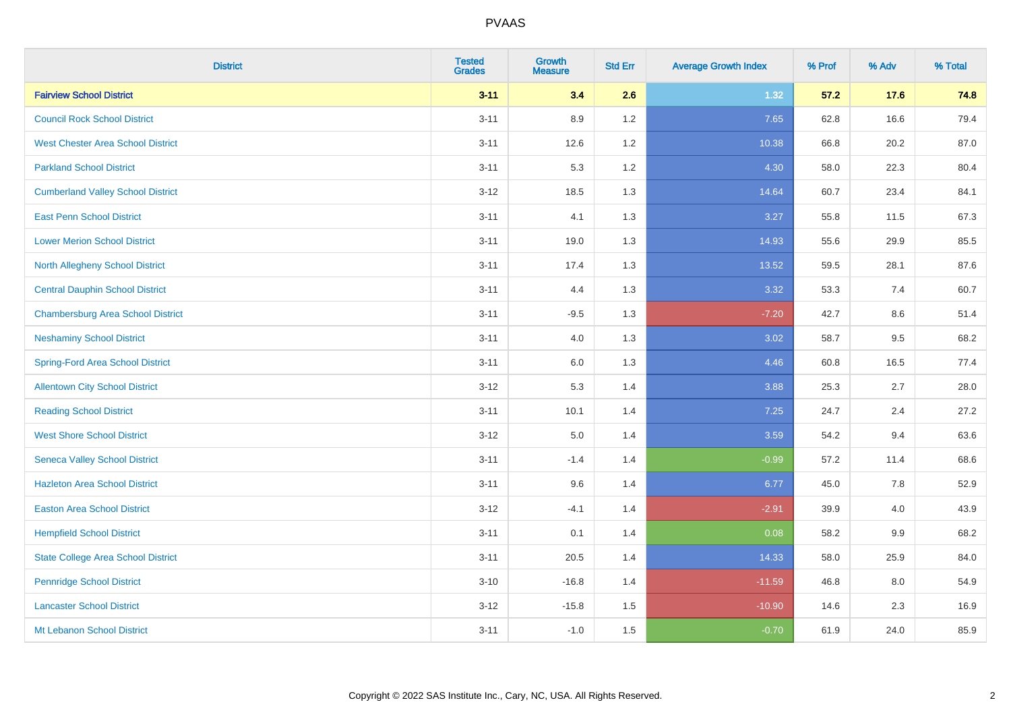| <b>District</b>                           | <b>Tested</b><br><b>Grades</b> | <b>Growth</b><br><b>Measure</b> | <b>Std Err</b> | <b>Average Growth Index</b> | % Prof | % Adv | % Total |
|-------------------------------------------|--------------------------------|---------------------------------|----------------|-----------------------------|--------|-------|---------|
| <b>Fairview School District</b>           | $3 - 11$                       | 3.4                             | 2.6            | 1.32                        | 57.2   | 17.6  | 74.8    |
| <b>Council Rock School District</b>       | $3 - 11$                       | 8.9                             | 1.2            | 7.65                        | 62.8   | 16.6  | 79.4    |
| <b>West Chester Area School District</b>  | $3 - 11$                       | 12.6                            | 1.2            | 10.38                       | 66.8   | 20.2  | 87.0    |
| <b>Parkland School District</b>           | $3 - 11$                       | 5.3                             | 1.2            | 4.30                        | 58.0   | 22.3  | 80.4    |
| <b>Cumberland Valley School District</b>  | $3 - 12$                       | 18.5                            | 1.3            | 14.64                       | 60.7   | 23.4  | 84.1    |
| <b>East Penn School District</b>          | $3 - 11$                       | 4.1                             | 1.3            | 3.27                        | 55.8   | 11.5  | 67.3    |
| <b>Lower Merion School District</b>       | $3 - 11$                       | 19.0                            | 1.3            | 14.93                       | 55.6   | 29.9  | 85.5    |
| <b>North Allegheny School District</b>    | $3 - 11$                       | 17.4                            | 1.3            | 13.52                       | 59.5   | 28.1  | 87.6    |
| <b>Central Dauphin School District</b>    | $3 - 11$                       | 4.4                             | 1.3            | 3.32                        | 53.3   | 7.4   | 60.7    |
| <b>Chambersburg Area School District</b>  | $3 - 11$                       | $-9.5$                          | 1.3            | $-7.20$                     | 42.7   | 8.6   | 51.4    |
| <b>Neshaminy School District</b>          | $3 - 11$                       | 4.0                             | 1.3            | 3.02                        | 58.7   | 9.5   | 68.2    |
| <b>Spring-Ford Area School District</b>   | $3 - 11$                       | $6.0\,$                         | 1.3            | 4.46                        | 60.8   | 16.5  | 77.4    |
| <b>Allentown City School District</b>     | $3 - 12$                       | 5.3                             | 1.4            | 3.88                        | 25.3   | 2.7   | 28.0    |
| <b>Reading School District</b>            | $3 - 11$                       | 10.1                            | 1.4            | 7.25                        | 24.7   | 2.4   | 27.2    |
| <b>West Shore School District</b>         | $3 - 12$                       | $5.0\,$                         | 1.4            | 3.59                        | 54.2   | 9.4   | 63.6    |
| <b>Seneca Valley School District</b>      | $3 - 11$                       | $-1.4$                          | 1.4            | $-0.99$                     | 57.2   | 11.4  | 68.6    |
| <b>Hazleton Area School District</b>      | $3 - 11$                       | 9.6                             | 1.4            | 6.77                        | 45.0   | 7.8   | 52.9    |
| <b>Easton Area School District</b>        | $3 - 12$                       | $-4.1$                          | 1.4            | $-2.91$                     | 39.9   | 4.0   | 43.9    |
| <b>Hempfield School District</b>          | $3 - 11$                       | 0.1                             | 1.4            | 0.08                        | 58.2   | 9.9   | 68.2    |
| <b>State College Area School District</b> | $3 - 11$                       | 20.5                            | 1.4            | 14.33                       | 58.0   | 25.9  | 84.0    |
| <b>Pennridge School District</b>          | $3 - 10$                       | $-16.8$                         | 1.4            | $-11.59$                    | 46.8   | 8.0   | 54.9    |
| <b>Lancaster School District</b>          | $3 - 12$                       | $-15.8$                         | 1.5            | $-10.90$                    | 14.6   | 2.3   | 16.9    |
| Mt Lebanon School District                | $3 - 11$                       | $-1.0$                          | 1.5            | $-0.70$                     | 61.9   | 24.0  | 85.9    |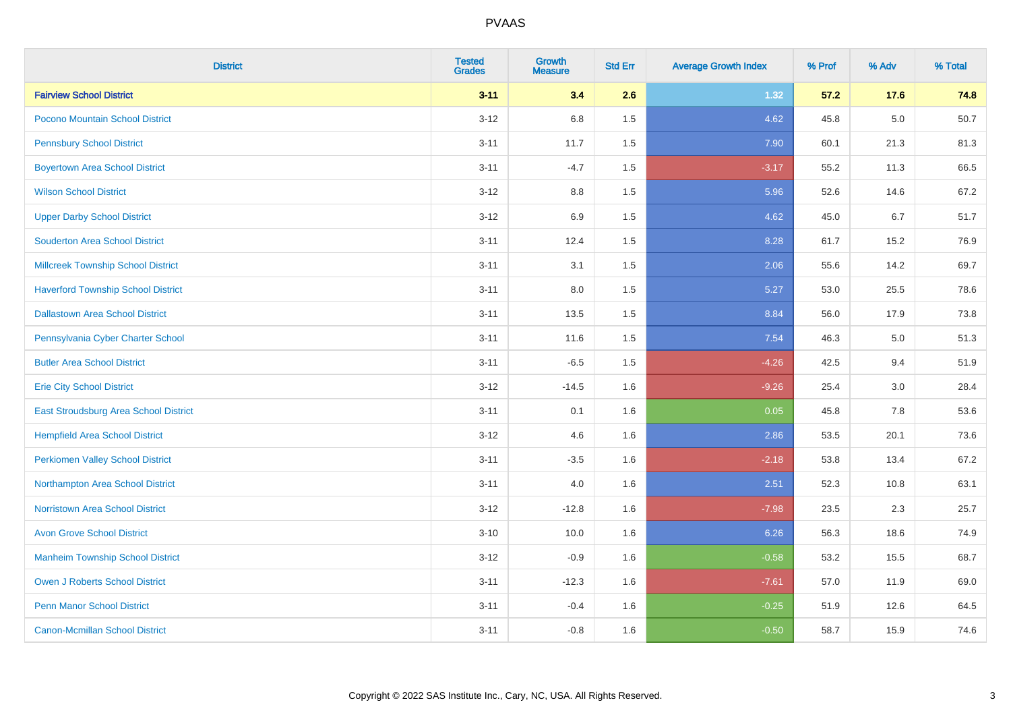| <b>District</b>                           | <b>Tested</b><br><b>Grades</b> | <b>Growth</b><br><b>Measure</b> | <b>Std Err</b> | <b>Average Growth Index</b> | % Prof | % Adv | % Total |
|-------------------------------------------|--------------------------------|---------------------------------|----------------|-----------------------------|--------|-------|---------|
| <b>Fairview School District</b>           | $3 - 11$                       | 3.4                             | 2.6            | 1.32                        | 57.2   | 17.6  | 74.8    |
| Pocono Mountain School District           | $3 - 12$                       | 6.8                             | 1.5            | 4.62                        | 45.8   | 5.0   | 50.7    |
| <b>Pennsbury School District</b>          | $3 - 11$                       | 11.7                            | 1.5            | 7.90                        | 60.1   | 21.3  | 81.3    |
| <b>Boyertown Area School District</b>     | $3 - 11$                       | $-4.7$                          | 1.5            | $-3.17$                     | 55.2   | 11.3  | 66.5    |
| <b>Wilson School District</b>             | $3 - 12$                       | 8.8                             | 1.5            | 5.96                        | 52.6   | 14.6  | 67.2    |
| <b>Upper Darby School District</b>        | $3 - 12$                       | 6.9                             | 1.5            | 4.62                        | 45.0   | 6.7   | 51.7    |
| <b>Souderton Area School District</b>     | $3 - 11$                       | 12.4                            | 1.5            | 8.28                        | 61.7   | 15.2  | 76.9    |
| <b>Millcreek Township School District</b> | $3 - 11$                       | 3.1                             | 1.5            | 2.06                        | 55.6   | 14.2  | 69.7    |
| <b>Haverford Township School District</b> | $3 - 11$                       | 8.0                             | 1.5            | 5.27                        | 53.0   | 25.5  | 78.6    |
| <b>Dallastown Area School District</b>    | $3 - 11$                       | 13.5                            | 1.5            | 8.84                        | 56.0   | 17.9  | 73.8    |
| Pennsylvania Cyber Charter School         | $3 - 11$                       | 11.6                            | 1.5            | 7.54                        | 46.3   | 5.0   | 51.3    |
| <b>Butler Area School District</b>        | $3 - 11$                       | $-6.5$                          | 1.5            | $-4.26$                     | 42.5   | 9.4   | 51.9    |
| <b>Erie City School District</b>          | $3 - 12$                       | $-14.5$                         | 1.6            | $-9.26$                     | 25.4   | 3.0   | 28.4    |
| East Stroudsburg Area School District     | $3 - 11$                       | 0.1                             | 1.6            | 0.05                        | 45.8   | 7.8   | 53.6    |
| <b>Hempfield Area School District</b>     | $3 - 12$                       | 4.6                             | 1.6            | 2.86                        | 53.5   | 20.1  | 73.6    |
| <b>Perkiomen Valley School District</b>   | $3 - 11$                       | $-3.5$                          | 1.6            | $-2.18$                     | 53.8   | 13.4  | 67.2    |
| Northampton Area School District          | $3 - 11$                       | 4.0                             | 1.6            | 2.51                        | 52.3   | 10.8  | 63.1    |
| <b>Norristown Area School District</b>    | $3 - 12$                       | $-12.8$                         | 1.6            | $-7.98$                     | 23.5   | 2.3   | 25.7    |
| <b>Avon Grove School District</b>         | $3 - 10$                       | 10.0                            | 1.6            | 6.26                        | 56.3   | 18.6  | 74.9    |
| <b>Manheim Township School District</b>   | $3 - 12$                       | $-0.9$                          | 1.6            | $-0.58$                     | 53.2   | 15.5  | 68.7    |
| <b>Owen J Roberts School District</b>     | $3 - 11$                       | $-12.3$                         | 1.6            | $-7.61$                     | 57.0   | 11.9  | 69.0    |
| <b>Penn Manor School District</b>         | $3 - 11$                       | $-0.4$                          | 1.6            | $-0.25$                     | 51.9   | 12.6  | 64.5    |
| <b>Canon-Mcmillan School District</b>     | $3 - 11$                       | $-0.8$                          | 1.6            | $-0.50$                     | 58.7   | 15.9  | 74.6    |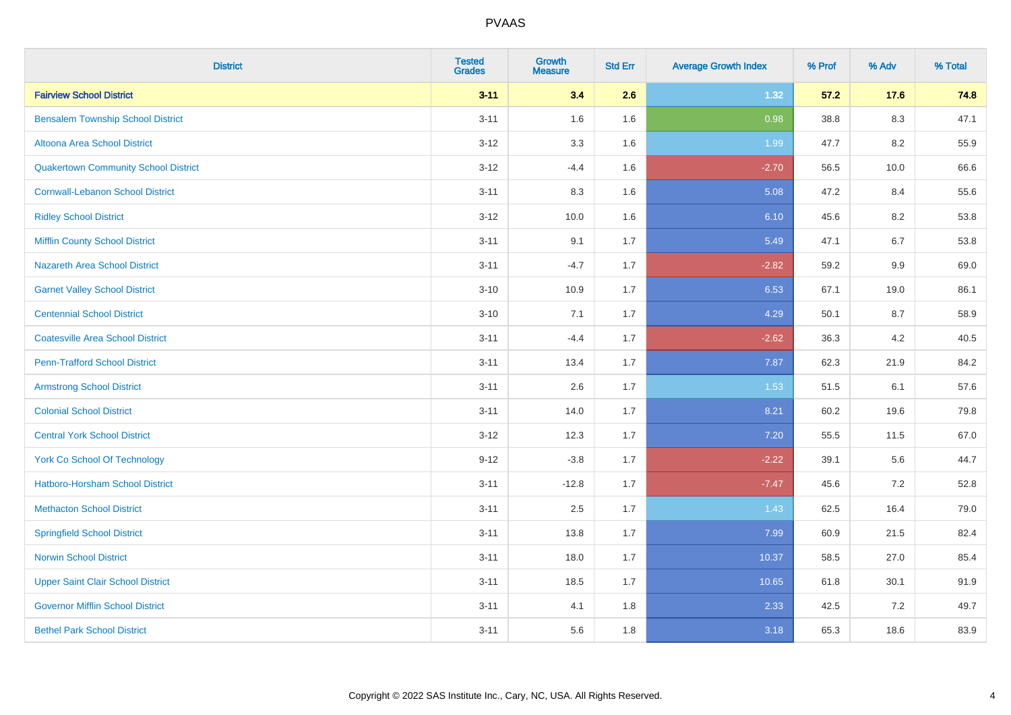| <b>District</b>                             | <b>Tested</b><br><b>Grades</b> | <b>Growth</b><br><b>Measure</b> | <b>Std Err</b> | <b>Average Growth Index</b> | % Prof | % Adv   | % Total |
|---------------------------------------------|--------------------------------|---------------------------------|----------------|-----------------------------|--------|---------|---------|
| <b>Fairview School District</b>             | $3 - 11$                       | 3.4                             | 2.6            | 1.32                        | 57.2   | 17.6    | 74.8    |
| <b>Bensalem Township School District</b>    | $3 - 11$                       | 1.6                             | 1.6            | 0.98                        | 38.8   | $8.3\,$ | 47.1    |
| Altoona Area School District                | $3 - 12$                       | 3.3                             | 1.6            | 1.99                        | 47.7   | 8.2     | 55.9    |
| <b>Quakertown Community School District</b> | $3 - 12$                       | $-4.4$                          | 1.6            | $-2.70$                     | 56.5   | 10.0    | 66.6    |
| <b>Cornwall-Lebanon School District</b>     | $3 - 11$                       | 8.3                             | 1.6            | 5.08                        | 47.2   | 8.4     | 55.6    |
| <b>Ridley School District</b>               | $3 - 12$                       | 10.0                            | 1.6            | 6.10                        | 45.6   | 8.2     | 53.8    |
| <b>Mifflin County School District</b>       | $3 - 11$                       | 9.1                             | 1.7            | 5.49                        | 47.1   | 6.7     | 53.8    |
| <b>Nazareth Area School District</b>        | $3 - 11$                       | $-4.7$                          | 1.7            | $-2.82$                     | 59.2   | 9.9     | 69.0    |
| <b>Garnet Valley School District</b>        | $3 - 10$                       | 10.9                            | 1.7            | 6.53                        | 67.1   | 19.0    | 86.1    |
| <b>Centennial School District</b>           | $3 - 10$                       | 7.1                             | 1.7            | 4.29                        | 50.1   | 8.7     | 58.9    |
| <b>Coatesville Area School District</b>     | $3 - 11$                       | $-4.4$                          | 1.7            | $-2.62$                     | 36.3   | 4.2     | 40.5    |
| <b>Penn-Trafford School District</b>        | $3 - 11$                       | 13.4                            | 1.7            | 7.87                        | 62.3   | 21.9    | 84.2    |
| <b>Armstrong School District</b>            | $3 - 11$                       | 2.6                             | 1.7            | 1.53                        | 51.5   | 6.1     | 57.6    |
| <b>Colonial School District</b>             | $3 - 11$                       | 14.0                            | 1.7            | 8.21                        | 60.2   | 19.6    | 79.8    |
| <b>Central York School District</b>         | $3 - 12$                       | 12.3                            | 1.7            | 7.20                        | 55.5   | 11.5    | 67.0    |
| <b>York Co School Of Technology</b>         | $9 - 12$                       | $-3.8$                          | 1.7            | $-2.22$                     | 39.1   | 5.6     | 44.7    |
| <b>Hatboro-Horsham School District</b>      | $3 - 11$                       | $-12.8$                         | 1.7            | $-7.47$                     | 45.6   | 7.2     | 52.8    |
| <b>Methacton School District</b>            | $3 - 11$                       | 2.5                             | 1.7            | 1.43                        | 62.5   | 16.4    | 79.0    |
| <b>Springfield School District</b>          | $3 - 11$                       | 13.8                            | 1.7            | 7.99                        | 60.9   | 21.5    | 82.4    |
| <b>Norwin School District</b>               | $3 - 11$                       | 18.0                            | 1.7            | 10.37                       | 58.5   | 27.0    | 85.4    |
| <b>Upper Saint Clair School District</b>    | $3 - 11$                       | 18.5                            | 1.7            | 10.65                       | 61.8   | 30.1    | 91.9    |
| <b>Governor Mifflin School District</b>     | $3 - 11$                       | 4.1                             | 1.8            | 2.33                        | 42.5   | 7.2     | 49.7    |
| <b>Bethel Park School District</b>          | $3 - 11$                       | 5.6                             | 1.8            | 3.18                        | 65.3   | 18.6    | 83.9    |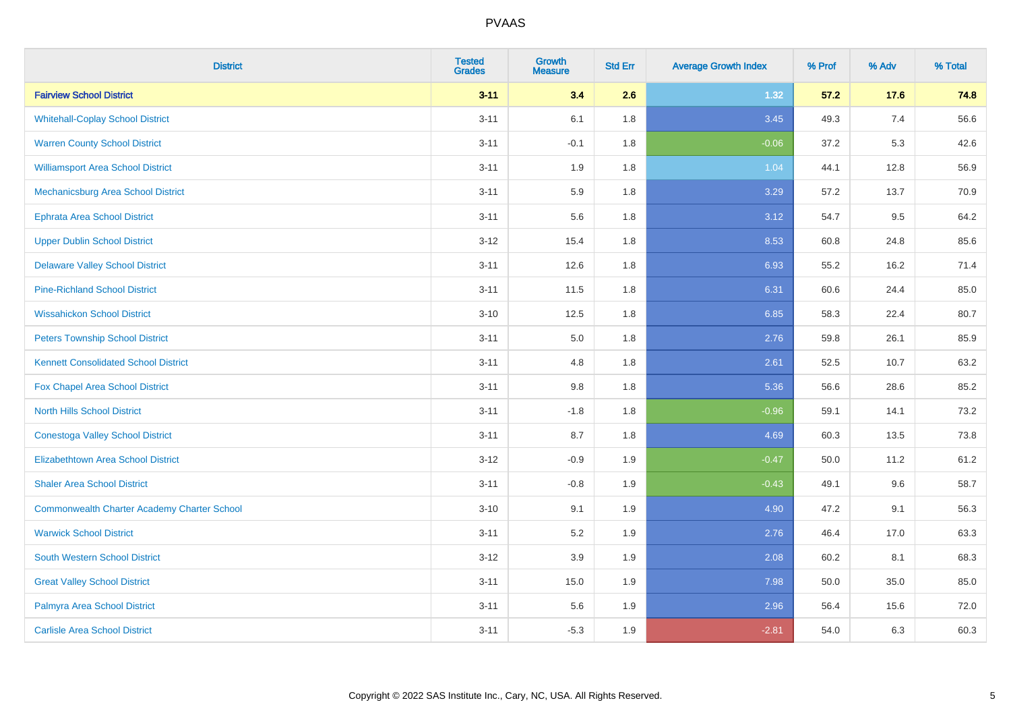| <b>District</b>                                    | <b>Tested</b><br><b>Grades</b> | <b>Growth</b><br><b>Measure</b> | <b>Std Err</b> | <b>Average Growth Index</b> | % Prof | % Adv | % Total |
|----------------------------------------------------|--------------------------------|---------------------------------|----------------|-----------------------------|--------|-------|---------|
| <b>Fairview School District</b>                    | $3 - 11$                       | 3.4                             | 2.6            | 1.32                        | 57.2   | 17.6  | 74.8    |
| <b>Whitehall-Coplay School District</b>            | $3 - 11$                       | 6.1                             | 1.8            | 3.45                        | 49.3   | 7.4   | 56.6    |
| <b>Warren County School District</b>               | $3 - 11$                       | $-0.1$                          | 1.8            | $-0.06$                     | 37.2   | 5.3   | 42.6    |
| <b>Williamsport Area School District</b>           | $3 - 11$                       | 1.9                             | 1.8            | 1.04                        | 44.1   | 12.8  | 56.9    |
| <b>Mechanicsburg Area School District</b>          | $3 - 11$                       | 5.9                             | 1.8            | 3.29                        | 57.2   | 13.7  | 70.9    |
| <b>Ephrata Area School District</b>                | $3 - 11$                       | 5.6                             | 1.8            | 3.12                        | 54.7   | 9.5   | 64.2    |
| <b>Upper Dublin School District</b>                | $3 - 12$                       | 15.4                            | 1.8            | 8.53                        | 60.8   | 24.8  | 85.6    |
| <b>Delaware Valley School District</b>             | $3 - 11$                       | 12.6                            | 1.8            | 6.93                        | 55.2   | 16.2  | 71.4    |
| <b>Pine-Richland School District</b>               | $3 - 11$                       | 11.5                            | 1.8            | 6.31                        | 60.6   | 24.4  | 85.0    |
| <b>Wissahickon School District</b>                 | $3 - 10$                       | 12.5                            | 1.8            | 6.85                        | 58.3   | 22.4  | 80.7    |
| <b>Peters Township School District</b>             | $3 - 11$                       | 5.0                             | 1.8            | 2.76                        | 59.8   | 26.1  | 85.9    |
| <b>Kennett Consolidated School District</b>        | $3 - 11$                       | 4.8                             | 1.8            | 2.61                        | 52.5   | 10.7  | 63.2    |
| Fox Chapel Area School District                    | $3 - 11$                       | $9.8\,$                         | 1.8            | 5.36                        | 56.6   | 28.6  | 85.2    |
| <b>North Hills School District</b>                 | $3 - 11$                       | $-1.8$                          | 1.8            | $-0.96$                     | 59.1   | 14.1  | 73.2    |
| <b>Conestoga Valley School District</b>            | $3 - 11$                       | 8.7                             | 1.8            | 4.69                        | 60.3   | 13.5  | 73.8    |
| <b>Elizabethtown Area School District</b>          | $3 - 12$                       | $-0.9$                          | 1.9            | $-0.47$                     | 50.0   | 11.2  | 61.2    |
| <b>Shaler Area School District</b>                 | $3 - 11$                       | $-0.8$                          | 1.9            | $-0.43$                     | 49.1   | 9.6   | 58.7    |
| <b>Commonwealth Charter Academy Charter School</b> | $3 - 10$                       | 9.1                             | 1.9            | 4.90                        | 47.2   | 9.1   | 56.3    |
| <b>Warwick School District</b>                     | $3 - 11$                       | 5.2                             | 1.9            | 2.76                        | 46.4   | 17.0  | 63.3    |
| South Western School District                      | $3 - 12$                       | 3.9                             | 1.9            | 2.08                        | 60.2   | 8.1   | 68.3    |
| <b>Great Valley School District</b>                | $3 - 11$                       | 15.0                            | 1.9            | 7.98                        | 50.0   | 35.0  | 85.0    |
| Palmyra Area School District                       | $3 - 11$                       | 5.6                             | 1.9            | 2.96                        | 56.4   | 15.6  | 72.0    |
| <b>Carlisle Area School District</b>               | $3 - 11$                       | $-5.3$                          | 1.9            | $-2.81$                     | 54.0   | 6.3   | 60.3    |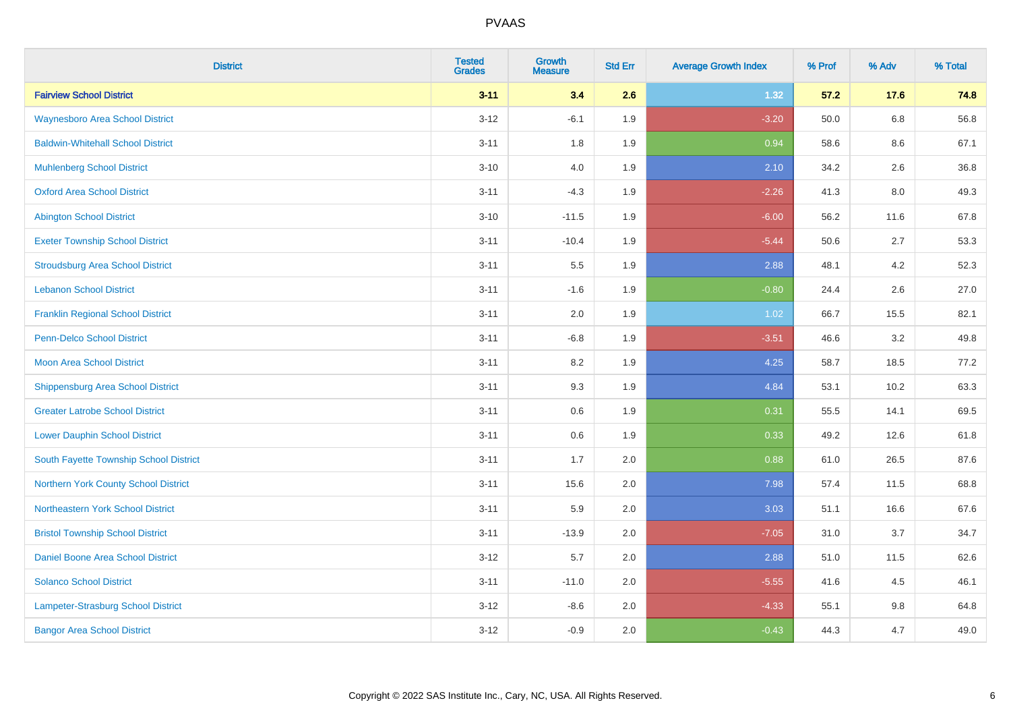| <b>District</b>                          | <b>Tested</b><br><b>Grades</b> | <b>Growth</b><br><b>Measure</b> | <b>Std Err</b> | <b>Average Growth Index</b> | % Prof | % Adv   | % Total |
|------------------------------------------|--------------------------------|---------------------------------|----------------|-----------------------------|--------|---------|---------|
| <b>Fairview School District</b>          | $3 - 11$                       | 3.4                             | 2.6            | 1.32                        | 57.2   | 17.6    | 74.8    |
| <b>Waynesboro Area School District</b>   | $3 - 12$                       | $-6.1$                          | 1.9            | $-3.20$                     | 50.0   | $6.8\,$ | 56.8    |
| <b>Baldwin-Whitehall School District</b> | $3 - 11$                       | 1.8                             | 1.9            | 0.94                        | 58.6   | 8.6     | 67.1    |
| <b>Muhlenberg School District</b>        | $3 - 10$                       | 4.0                             | 1.9            | 2.10                        | 34.2   | 2.6     | 36.8    |
| <b>Oxford Area School District</b>       | $3 - 11$                       | $-4.3$                          | 1.9            | $-2.26$                     | 41.3   | 8.0     | 49.3    |
| <b>Abington School District</b>          | $3 - 10$                       | $-11.5$                         | 1.9            | $-6.00$                     | 56.2   | 11.6    | 67.8    |
| <b>Exeter Township School District</b>   | $3 - 11$                       | $-10.4$                         | 1.9            | $-5.44$                     | 50.6   | 2.7     | 53.3    |
| <b>Stroudsburg Area School District</b>  | $3 - 11$                       | $5.5\,$                         | 1.9            | 2.88                        | 48.1   | 4.2     | 52.3    |
| <b>Lebanon School District</b>           | $3 - 11$                       | $-1.6$                          | 1.9            | $-0.80$                     | 24.4   | 2.6     | 27.0    |
| <b>Franklin Regional School District</b> | $3 - 11$                       | 2.0                             | 1.9            | 1.02                        | 66.7   | 15.5    | 82.1    |
| <b>Penn-Delco School District</b>        | $3 - 11$                       | $-6.8$                          | 1.9            | $-3.51$                     | 46.6   | 3.2     | 49.8    |
| <b>Moon Area School District</b>         | $3 - 11$                       | 8.2                             | 1.9            | 4.25                        | 58.7   | 18.5    | 77.2    |
| <b>Shippensburg Area School District</b> | $3 - 11$                       | 9.3                             | 1.9            | 4.84                        | 53.1   | 10.2    | 63.3    |
| <b>Greater Latrobe School District</b>   | $3 - 11$                       | 0.6                             | 1.9            | 0.31                        | 55.5   | 14.1    | 69.5    |
| <b>Lower Dauphin School District</b>     | $3 - 11$                       | 0.6                             | 1.9            | 0.33                        | 49.2   | 12.6    | 61.8    |
| South Fayette Township School District   | $3 - 11$                       | 1.7                             | 2.0            | 0.88                        | 61.0   | 26.5    | 87.6    |
| Northern York County School District     | $3 - 11$                       | 15.6                            | 2.0            | 7.98                        | 57.4   | 11.5    | 68.8    |
| Northeastern York School District        | $3 - 11$                       | 5.9                             | 2.0            | 3.03                        | 51.1   | 16.6    | 67.6    |
| <b>Bristol Township School District</b>  | $3 - 11$                       | $-13.9$                         | 2.0            | $-7.05$                     | 31.0   | 3.7     | 34.7    |
| <b>Daniel Boone Area School District</b> | $3 - 12$                       | 5.7                             | 2.0            | 2.88                        | 51.0   | 11.5    | 62.6    |
| <b>Solanco School District</b>           | $3 - 11$                       | $-11.0$                         | 2.0            | $-5.55$                     | 41.6   | 4.5     | 46.1    |
| Lampeter-Strasburg School District       | $3-12$                         | $-8.6$                          | 2.0            | $-4.33$                     | 55.1   | 9.8     | 64.8    |
| <b>Bangor Area School District</b>       | $3 - 12$                       | $-0.9$                          | 2.0            | $-0.43$                     | 44.3   | 4.7     | 49.0    |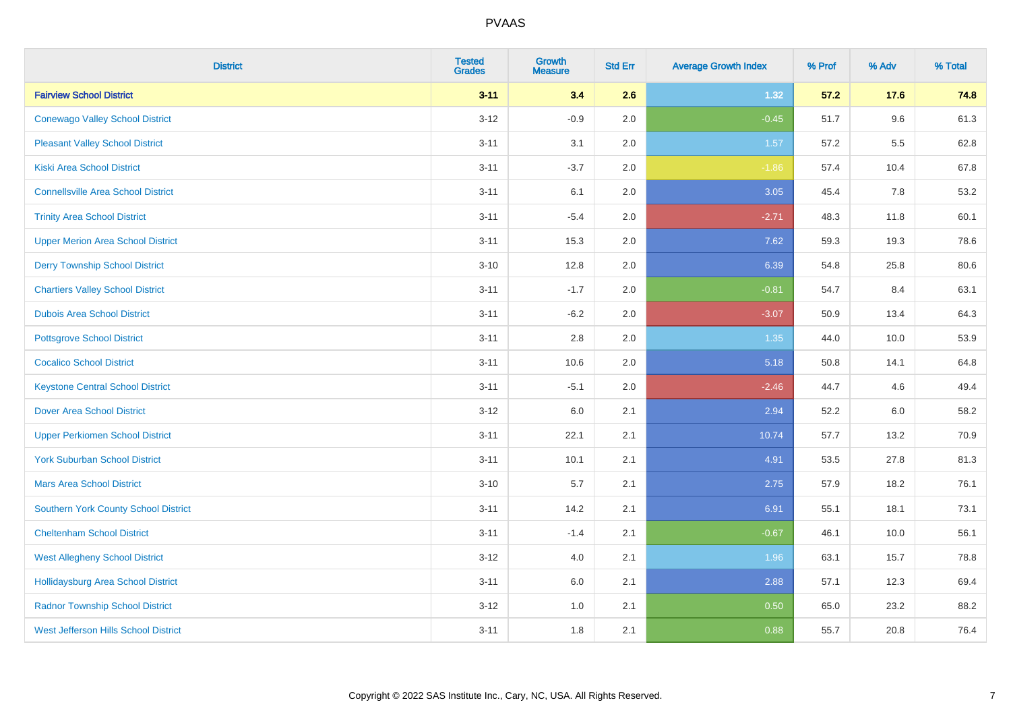| <b>District</b>                             | <b>Tested</b><br><b>Grades</b> | Growth<br><b>Measure</b> | <b>Std Err</b> | <b>Average Growth Index</b> | % Prof | % Adv | % Total |
|---------------------------------------------|--------------------------------|--------------------------|----------------|-----------------------------|--------|-------|---------|
| <b>Fairview School District</b>             | $3 - 11$                       | 3.4                      | 2.6            | 1.32                        | 57.2   | 17.6  | 74.8    |
| <b>Conewago Valley School District</b>      | $3 - 12$                       | $-0.9$                   | 2.0            | $-0.45$                     | 51.7   | 9.6   | 61.3    |
| <b>Pleasant Valley School District</b>      | $3 - 11$                       | 3.1                      | 2.0            | 1.57                        | 57.2   | 5.5   | 62.8    |
| <b>Kiski Area School District</b>           | $3 - 11$                       | $-3.7$                   | 2.0            | $-1.86$                     | 57.4   | 10.4  | 67.8    |
| <b>Connellsville Area School District</b>   | $3 - 11$                       | 6.1                      | 2.0            | 3.05                        | 45.4   | 7.8   | 53.2    |
| <b>Trinity Area School District</b>         | $3 - 11$                       | $-5.4$                   | 2.0            | $-2.71$                     | 48.3   | 11.8  | 60.1    |
| <b>Upper Merion Area School District</b>    | $3 - 11$                       | 15.3                     | 2.0            | 7.62                        | 59.3   | 19.3  | 78.6    |
| <b>Derry Township School District</b>       | $3 - 10$                       | 12.8                     | 2.0            | 6.39                        | 54.8   | 25.8  | 80.6    |
| <b>Chartiers Valley School District</b>     | $3 - 11$                       | $-1.7$                   | 2.0            | $-0.81$                     | 54.7   | 8.4   | 63.1    |
| <b>Dubois Area School District</b>          | $3 - 11$                       | $-6.2$                   | 2.0            | $-3.07$                     | 50.9   | 13.4  | 64.3    |
| <b>Pottsgrove School District</b>           | $3 - 11$                       | 2.8                      | 2.0            | 1.35                        | 44.0   | 10.0  | 53.9    |
| <b>Cocalico School District</b>             | $3 - 11$                       | 10.6                     | 2.0            | 5.18                        | 50.8   | 14.1  | 64.8    |
| <b>Keystone Central School District</b>     | $3 - 11$                       | $-5.1$                   | 2.0            | $-2.46$                     | 44.7   | 4.6   | 49.4    |
| <b>Dover Area School District</b>           | $3-12$                         | 6.0                      | 2.1            | 2.94                        | 52.2   | 6.0   | 58.2    |
| <b>Upper Perkiomen School District</b>      | $3 - 11$                       | 22.1                     | 2.1            | 10.74                       | 57.7   | 13.2  | 70.9    |
| <b>York Suburban School District</b>        | $3 - 11$                       | 10.1                     | 2.1            | 4.91                        | 53.5   | 27.8  | 81.3    |
| <b>Mars Area School District</b>            | $3 - 10$                       | 5.7                      | 2.1            | 2.75                        | 57.9   | 18.2  | 76.1    |
| Southern York County School District        | $3 - 11$                       | 14.2                     | 2.1            | 6.91                        | 55.1   | 18.1  | 73.1    |
| <b>Cheltenham School District</b>           | $3 - 11$                       | $-1.4$                   | 2.1            | $-0.67$                     | 46.1   | 10.0  | 56.1    |
| <b>West Allegheny School District</b>       | $3-12$                         | 4.0                      | 2.1            | 1.96                        | 63.1   | 15.7  | 78.8    |
| <b>Hollidaysburg Area School District</b>   | $3 - 11$                       | 6.0                      | 2.1            | 2.88                        | 57.1   | 12.3  | 69.4    |
| <b>Radnor Township School District</b>      | $3 - 12$                       | 1.0                      | 2.1            | 0.50                        | 65.0   | 23.2  | 88.2    |
| <b>West Jefferson Hills School District</b> | $3 - 11$                       | 1.8                      | 2.1            | 0.88                        | 55.7   | 20.8  | 76.4    |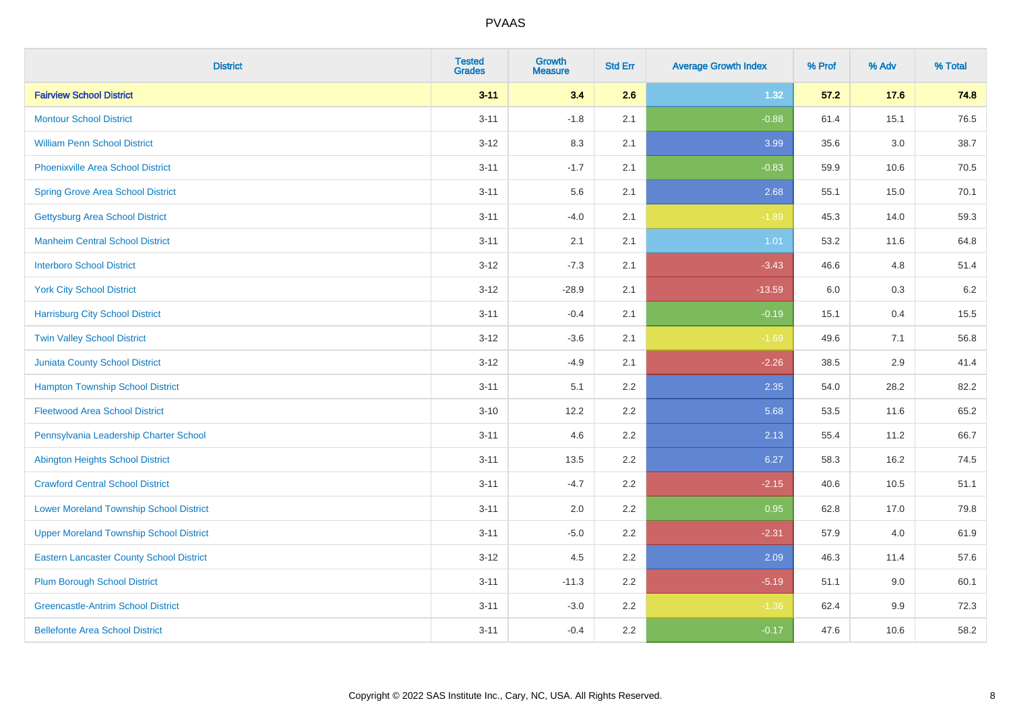| <b>District</b>                                 | <b>Tested</b><br><b>Grades</b> | <b>Growth</b><br><b>Measure</b> | <b>Std Err</b> | <b>Average Growth Index</b> | % Prof | % Adv   | % Total |
|-------------------------------------------------|--------------------------------|---------------------------------|----------------|-----------------------------|--------|---------|---------|
| <b>Fairview School District</b>                 | $3 - 11$                       | 3.4                             | 2.6            | 1.32                        | 57.2   | 17.6    | 74.8    |
| <b>Montour School District</b>                  | $3 - 11$                       | $-1.8$                          | 2.1            | $-0.88$                     | 61.4   | 15.1    | 76.5    |
| <b>William Penn School District</b>             | $3 - 12$                       | 8.3                             | 2.1            | 3.99                        | 35.6   | $3.0\,$ | 38.7    |
| Phoenixville Area School District               | $3 - 11$                       | $-1.7$                          | 2.1            | $-0.83$                     | 59.9   | 10.6    | 70.5    |
| <b>Spring Grove Area School District</b>        | $3 - 11$                       | 5.6                             | 2.1            | 2.68                        | 55.1   | 15.0    | 70.1    |
| <b>Gettysburg Area School District</b>          | $3 - 11$                       | $-4.0$                          | 2.1            | $-1.89$                     | 45.3   | 14.0    | 59.3    |
| <b>Manheim Central School District</b>          | $3 - 11$                       | 2.1                             | 2.1            | 1.01                        | 53.2   | 11.6    | 64.8    |
| <b>Interboro School District</b>                | $3 - 12$                       | $-7.3$                          | 2.1            | $-3.43$                     | 46.6   | 4.8     | 51.4    |
| <b>York City School District</b>                | $3 - 12$                       | $-28.9$                         | 2.1            | $-13.59$                    | 6.0    | $0.3\,$ | 6.2     |
| <b>Harrisburg City School District</b>          | $3 - 11$                       | $-0.4$                          | 2.1            | $-0.19$                     | 15.1   | 0.4     | 15.5    |
| <b>Twin Valley School District</b>              | $3-12$                         | $-3.6$                          | 2.1            | $-1.69$                     | 49.6   | 7.1     | 56.8    |
| Juniata County School District                  | $3-12$                         | $-4.9$                          | 2.1            | $-2.26$                     | 38.5   | 2.9     | 41.4    |
| <b>Hampton Township School District</b>         | $3 - 11$                       | 5.1                             | 2.2            | 2.35                        | 54.0   | 28.2    | 82.2    |
| <b>Fleetwood Area School District</b>           | $3 - 10$                       | 12.2                            | 2.2            | 5.68                        | 53.5   | 11.6    | 65.2    |
| Pennsylvania Leadership Charter School          | $3 - 11$                       | 4.6                             | 2.2            | 2.13                        | 55.4   | 11.2    | 66.7    |
| <b>Abington Heights School District</b>         | $3 - 11$                       | 13.5                            | 2.2            | 6.27                        | 58.3   | 16.2    | 74.5    |
| <b>Crawford Central School District</b>         | $3 - 11$                       | $-4.7$                          | 2.2            | $-2.15$                     | 40.6   | 10.5    | 51.1    |
| <b>Lower Moreland Township School District</b>  | $3 - 11$                       | 2.0                             | 2.2            | 0.95                        | 62.8   | 17.0    | 79.8    |
| <b>Upper Moreland Township School District</b>  | $3 - 11$                       | $-5.0$                          | 2.2            | $-2.31$                     | 57.9   | 4.0     | 61.9    |
| <b>Eastern Lancaster County School District</b> | $3 - 12$                       | 4.5                             | 2.2            | 2.09                        | 46.3   | 11.4    | 57.6    |
| <b>Plum Borough School District</b>             | $3 - 11$                       | $-11.3$                         | 2.2            | $-5.19$                     | 51.1   | 9.0     | 60.1    |
| <b>Greencastle-Antrim School District</b>       | $3 - 11$                       | $-3.0$                          | 2.2            | $-1.36$                     | 62.4   | 9.9     | 72.3    |
| <b>Bellefonte Area School District</b>          | $3 - 11$                       | $-0.4$                          | 2.2            | $-0.17$                     | 47.6   | 10.6    | 58.2    |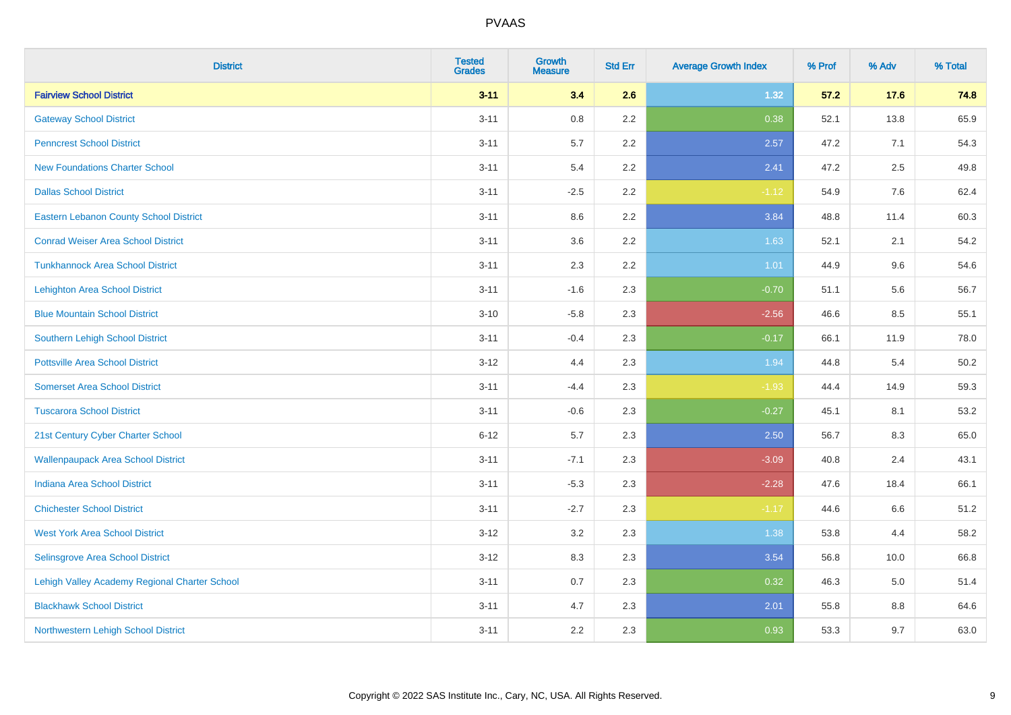| <b>District</b>                               | <b>Tested</b><br><b>Grades</b> | <b>Growth</b><br><b>Measure</b> | <b>Std Err</b> | <b>Average Growth Index</b> | % Prof | % Adv | % Total |
|-----------------------------------------------|--------------------------------|---------------------------------|----------------|-----------------------------|--------|-------|---------|
| <b>Fairview School District</b>               | $3 - 11$                       | 3.4                             | 2.6            | 1.32                        | 57.2   | 17.6  | 74.8    |
| <b>Gateway School District</b>                | $3 - 11$                       | $0.8\,$                         | 2.2            | 0.38                        | 52.1   | 13.8  | 65.9    |
| <b>Penncrest School District</b>              | $3 - 11$                       | 5.7                             | 2.2            | 2.57                        | 47.2   | 7.1   | 54.3    |
| <b>New Foundations Charter School</b>         | $3 - 11$                       | 5.4                             | 2.2            | 2.41                        | 47.2   | 2.5   | 49.8    |
| <b>Dallas School District</b>                 | $3 - 11$                       | $-2.5$                          | 2.2            | $-1.12$                     | 54.9   | 7.6   | 62.4    |
| <b>Eastern Lebanon County School District</b> | $3 - 11$                       | 8.6                             | 2.2            | 3.84                        | 48.8   | 11.4  | 60.3    |
| <b>Conrad Weiser Area School District</b>     | $3 - 11$                       | 3.6                             | 2.2            | 1.63                        | 52.1   | 2.1   | 54.2    |
| <b>Tunkhannock Area School District</b>       | $3 - 11$                       | 2.3                             | 2.2            | 1.01                        | 44.9   | 9.6   | 54.6    |
| <b>Lehighton Area School District</b>         | $3 - 11$                       | $-1.6$                          | 2.3            | $-0.70$                     | 51.1   | 5.6   | 56.7    |
| <b>Blue Mountain School District</b>          | $3 - 10$                       | $-5.8$                          | 2.3            | $-2.56$                     | 46.6   | 8.5   | 55.1    |
| Southern Lehigh School District               | $3 - 11$                       | $-0.4$                          | 2.3            | $-0.17$                     | 66.1   | 11.9  | 78.0    |
| <b>Pottsville Area School District</b>        | $3 - 12$                       | 4.4                             | 2.3            | 1.94                        | 44.8   | 5.4   | 50.2    |
| <b>Somerset Area School District</b>          | $3 - 11$                       | $-4.4$                          | 2.3            | $-1.93$                     | 44.4   | 14.9  | 59.3    |
| <b>Tuscarora School District</b>              | $3 - 11$                       | $-0.6$                          | 2.3            | $-0.27$                     | 45.1   | 8.1   | 53.2    |
| 21st Century Cyber Charter School             | $6 - 12$                       | 5.7                             | 2.3            | 2.50                        | 56.7   | 8.3   | 65.0    |
| <b>Wallenpaupack Area School District</b>     | $3 - 11$                       | $-7.1$                          | 2.3            | $-3.09$                     | 40.8   | 2.4   | 43.1    |
| <b>Indiana Area School District</b>           | $3 - 11$                       | $-5.3$                          | 2.3            | $-2.28$                     | 47.6   | 18.4  | 66.1    |
| <b>Chichester School District</b>             | $3 - 11$                       | $-2.7$                          | 2.3            | $-1.17$                     | 44.6   | 6.6   | 51.2    |
| <b>West York Area School District</b>         | $3 - 12$                       | 3.2                             | 2.3            | 1.38                        | 53.8   | 4.4   | 58.2    |
| Selinsgrove Area School District              | $3 - 12$                       | 8.3                             | 2.3            | 3.54                        | 56.8   | 10.0  | 66.8    |
| Lehigh Valley Academy Regional Charter School | $3 - 11$                       | 0.7                             | 2.3            | 0.32                        | 46.3   | 5.0   | 51.4    |
| <b>Blackhawk School District</b>              | $3 - 11$                       | 4.7                             | 2.3            | 2.01                        | 55.8   | 8.8   | 64.6    |
| Northwestern Lehigh School District           | $3 - 11$                       | 2.2                             | 2.3            | 0.93                        | 53.3   | 9.7   | 63.0    |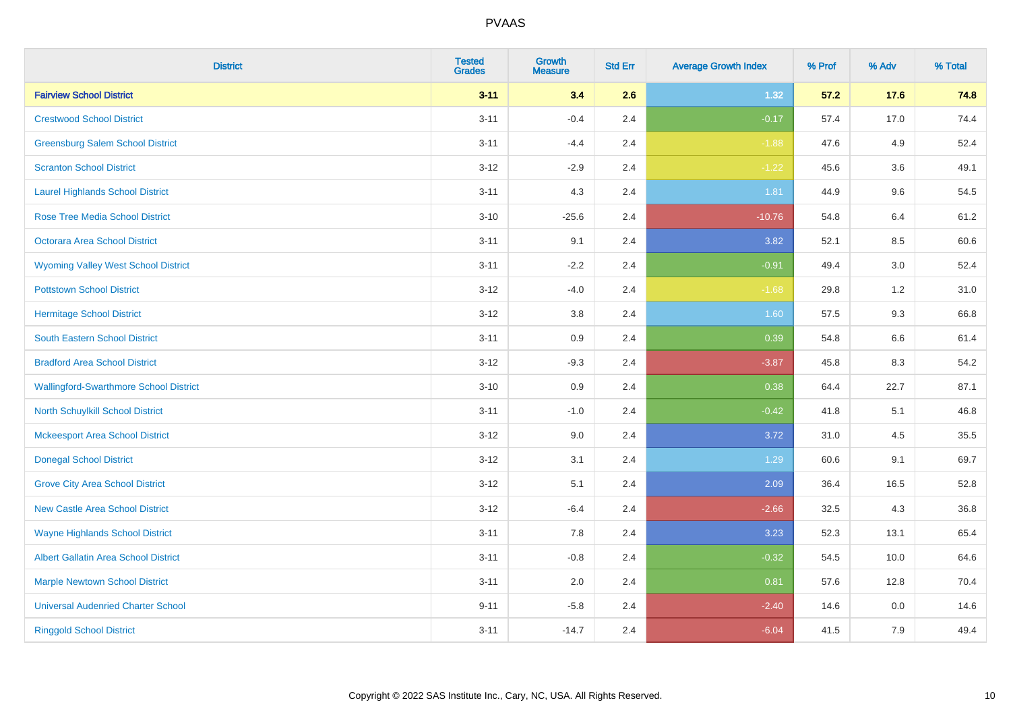| <b>District</b>                               | <b>Tested</b><br><b>Grades</b> | Growth<br><b>Measure</b> | <b>Std Err</b> | <b>Average Growth Index</b> | % Prof | % Adv   | % Total |
|-----------------------------------------------|--------------------------------|--------------------------|----------------|-----------------------------|--------|---------|---------|
| <b>Fairview School District</b>               | $3 - 11$                       | 3.4                      | 2.6            | 1.32                        | 57.2   | 17.6    | 74.8    |
| <b>Crestwood School District</b>              | $3 - 11$                       | $-0.4$                   | 2.4            | $-0.17$                     | 57.4   | 17.0    | 74.4    |
| <b>Greensburg Salem School District</b>       | $3 - 11$                       | $-4.4$                   | 2.4            | $-1.88$                     | 47.6   | 4.9     | 52.4    |
| <b>Scranton School District</b>               | $3 - 12$                       | $-2.9$                   | 2.4            | $-1.22$                     | 45.6   | 3.6     | 49.1    |
| <b>Laurel Highlands School District</b>       | $3 - 11$                       | 4.3                      | 2.4            | 1.81                        | 44.9   | 9.6     | 54.5    |
| <b>Rose Tree Media School District</b>        | $3 - 10$                       | $-25.6$                  | 2.4            | $-10.76$                    | 54.8   | 6.4     | 61.2    |
| Octorara Area School District                 | $3 - 11$                       | 9.1                      | 2.4            | 3.82                        | 52.1   | 8.5     | 60.6    |
| <b>Wyoming Valley West School District</b>    | $3 - 11$                       | $-2.2$                   | 2.4            | $-0.91$                     | 49.4   | 3.0     | 52.4    |
| <b>Pottstown School District</b>              | $3 - 12$                       | $-4.0$                   | 2.4            | $-1.68$                     | 29.8   | 1.2     | 31.0    |
| <b>Hermitage School District</b>              | $3 - 12$                       | 3.8                      | 2.4            | 1.60                        | 57.5   | 9.3     | 66.8    |
| South Eastern School District                 | $3 - 11$                       | 0.9                      | 2.4            | 0.39                        | 54.8   | 6.6     | 61.4    |
| <b>Bradford Area School District</b>          | $3-12$                         | $-9.3$                   | 2.4            | $-3.87$                     | 45.8   | 8.3     | 54.2    |
| <b>Wallingford-Swarthmore School District</b> | $3 - 10$                       | 0.9                      | 2.4            | 0.38                        | 64.4   | 22.7    | 87.1    |
| <b>North Schuylkill School District</b>       | $3 - 11$                       | $-1.0$                   | 2.4            | $-0.42$                     | 41.8   | 5.1     | 46.8    |
| <b>Mckeesport Area School District</b>        | $3 - 12$                       | 9.0                      | 2.4            | 3.72                        | 31.0   | 4.5     | 35.5    |
| <b>Donegal School District</b>                | $3 - 12$                       | 3.1                      | 2.4            | 1.29                        | 60.6   | 9.1     | 69.7    |
| <b>Grove City Area School District</b>        | $3 - 12$                       | 5.1                      | 2.4            | 2.09                        | 36.4   | 16.5    | 52.8    |
| <b>New Castle Area School District</b>        | $3 - 12$                       | $-6.4$                   | 2.4            | $-2.66$                     | 32.5   | 4.3     | 36.8    |
| <b>Wayne Highlands School District</b>        | $3 - 11$                       | 7.8                      | 2.4            | 3.23                        | 52.3   | 13.1    | 65.4    |
| Albert Gallatin Area School District          | $3 - 11$                       | $-0.8$                   | 2.4            | $-0.32$                     | 54.5   | 10.0    | 64.6    |
| <b>Marple Newtown School District</b>         | $3 - 11$                       | 2.0                      | 2.4            | 0.81                        | 57.6   | 12.8    | 70.4    |
| <b>Universal Audenried Charter School</b>     | $9 - 11$                       | $-5.8$                   | 2.4            | $-2.40$                     | 14.6   | $0.0\,$ | 14.6    |
| <b>Ringgold School District</b>               | $3 - 11$                       | $-14.7$                  | 2.4            | $-6.04$                     | 41.5   | 7.9     | 49.4    |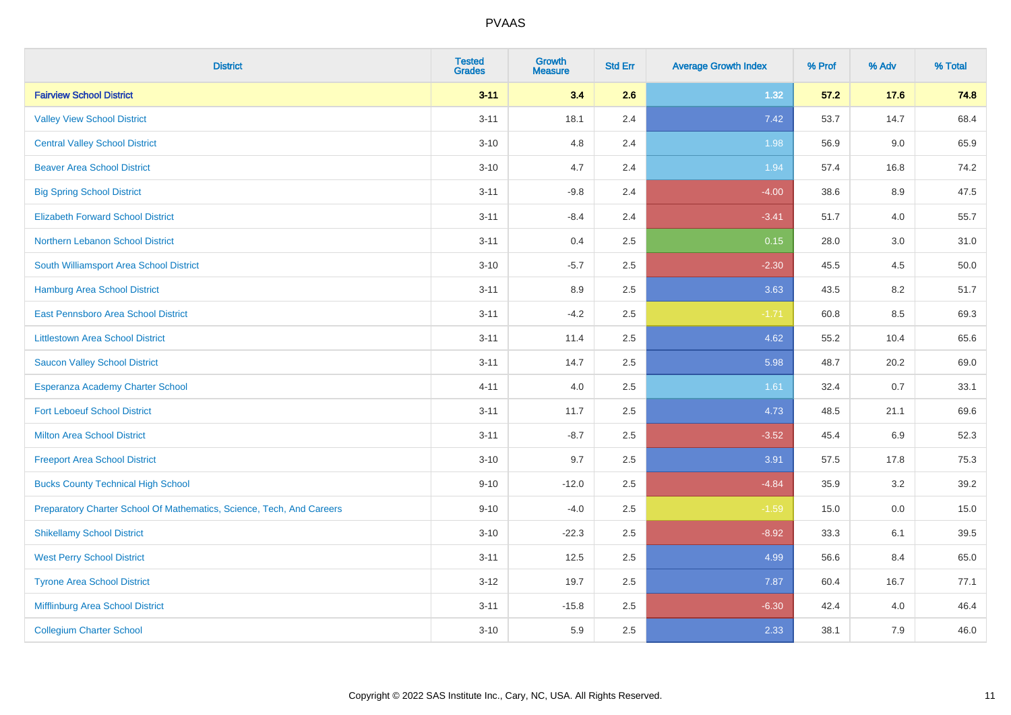| <b>District</b>                                                       | <b>Tested</b><br><b>Grades</b> | <b>Growth</b><br><b>Measure</b> | <b>Std Err</b> | <b>Average Growth Index</b> | % Prof | % Adv   | % Total |
|-----------------------------------------------------------------------|--------------------------------|---------------------------------|----------------|-----------------------------|--------|---------|---------|
| <b>Fairview School District</b>                                       | $3 - 11$                       | 3.4                             | 2.6            | 1.32                        | 57.2   | 17.6    | 74.8    |
| <b>Valley View School District</b>                                    | $3 - 11$                       | 18.1                            | 2.4            | 7.42                        | 53.7   | 14.7    | 68.4    |
| <b>Central Valley School District</b>                                 | $3 - 10$                       | 4.8                             | 2.4            | 1.98                        | 56.9   | 9.0     | 65.9    |
| <b>Beaver Area School District</b>                                    | $3 - 10$                       | 4.7                             | 2.4            | 1.94                        | 57.4   | 16.8    | 74.2    |
| <b>Big Spring School District</b>                                     | $3 - 11$                       | $-9.8$                          | 2.4            | $-4.00$                     | 38.6   | 8.9     | 47.5    |
| <b>Elizabeth Forward School District</b>                              | $3 - 11$                       | $-8.4$                          | 2.4            | $-3.41$                     | 51.7   | 4.0     | 55.7    |
| Northern Lebanon School District                                      | $3 - 11$                       | 0.4                             | 2.5            | 0.15                        | 28.0   | $3.0\,$ | 31.0    |
| South Williamsport Area School District                               | $3 - 10$                       | $-5.7$                          | 2.5            | $-2.30$                     | 45.5   | 4.5     | 50.0    |
| Hamburg Area School District                                          | $3 - 11$                       | 8.9                             | 2.5            | 3.63                        | 43.5   | 8.2     | 51.7    |
| <b>East Pennsboro Area School District</b>                            | $3 - 11$                       | $-4.2$                          | 2.5            | $-1.71$                     | 60.8   | 8.5     | 69.3    |
| <b>Littlestown Area School District</b>                               | $3 - 11$                       | 11.4                            | 2.5            | 4.62                        | 55.2   | 10.4    | 65.6    |
| <b>Saucon Valley School District</b>                                  | $3 - 11$                       | 14.7                            | 2.5            | 5.98                        | 48.7   | 20.2    | 69.0    |
| Esperanza Academy Charter School                                      | $4 - 11$                       | 4.0                             | 2.5            | 1.61                        | 32.4   | 0.7     | 33.1    |
| <b>Fort Leboeuf School District</b>                                   | $3 - 11$                       | 11.7                            | 2.5            | 4.73                        | 48.5   | 21.1    | 69.6    |
| <b>Milton Area School District</b>                                    | $3 - 11$                       | $-8.7$                          | 2.5            | $-3.52$                     | 45.4   | 6.9     | 52.3    |
| <b>Freeport Area School District</b>                                  | $3 - 10$                       | 9.7                             | 2.5            | 3.91                        | 57.5   | 17.8    | 75.3    |
| <b>Bucks County Technical High School</b>                             | $9 - 10$                       | $-12.0$                         | 2.5            | $-4.84$                     | 35.9   | 3.2     | 39.2    |
| Preparatory Charter School Of Mathematics, Science, Tech, And Careers | $9 - 10$                       | $-4.0$                          | 2.5            | $-1.59$                     | 15.0   | 0.0     | 15.0    |
| <b>Shikellamy School District</b>                                     | $3 - 10$                       | $-22.3$                         | 2.5            | $-8.92$                     | 33.3   | 6.1     | 39.5    |
| <b>West Perry School District</b>                                     | $3 - 11$                       | 12.5                            | 2.5            | 4.99                        | 56.6   | 8.4     | 65.0    |
| <b>Tyrone Area School District</b>                                    | $3 - 12$                       | 19.7                            | 2.5            | 7.87                        | 60.4   | 16.7    | 77.1    |
| Mifflinburg Area School District                                      | $3 - 11$                       | $-15.8$                         | 2.5            | $-6.30$                     | 42.4   | 4.0     | 46.4    |
| <b>Collegium Charter School</b>                                       | $3 - 10$                       | 5.9                             | 2.5            | 2.33                        | 38.1   | 7.9     | 46.0    |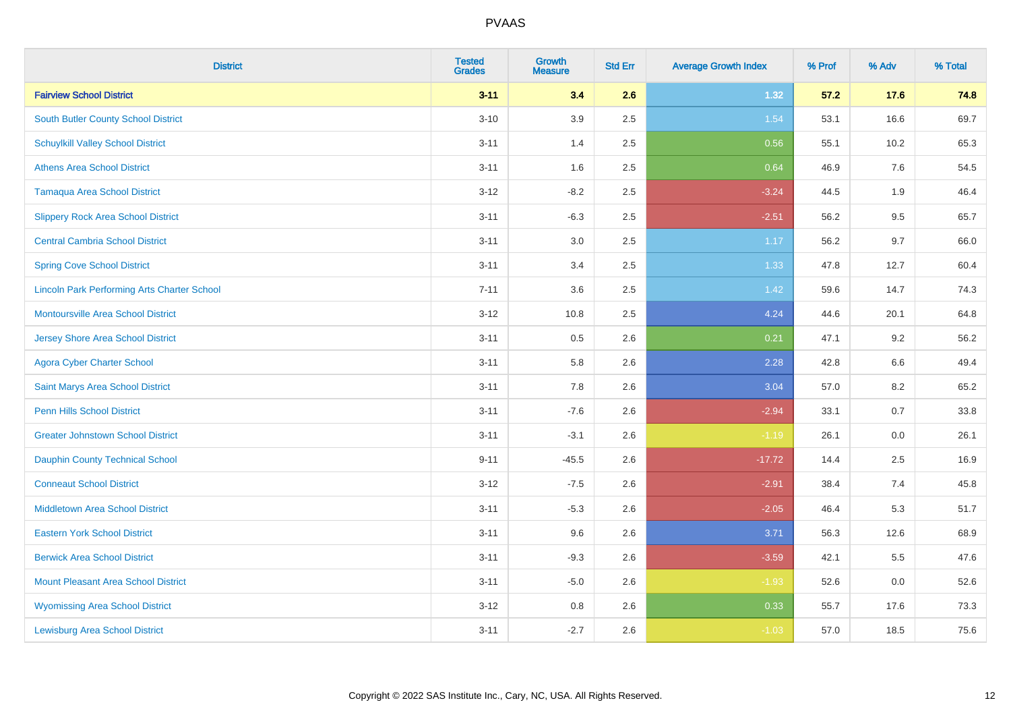| <b>District</b>                                    | <b>Tested</b><br><b>Grades</b> | <b>Growth</b><br><b>Measure</b> | <b>Std Err</b> | <b>Average Growth Index</b> | % Prof | % Adv   | % Total |
|----------------------------------------------------|--------------------------------|---------------------------------|----------------|-----------------------------|--------|---------|---------|
| <b>Fairview School District</b>                    | $3 - 11$                       | 3.4                             | 2.6            | 1.32                        | 57.2   | 17.6    | 74.8    |
| South Butler County School District                | $3 - 10$                       | 3.9                             | 2.5            | 1.54                        | 53.1   | 16.6    | 69.7    |
| <b>Schuylkill Valley School District</b>           | $3 - 11$                       | 1.4                             | 2.5            | 0.56                        | 55.1   | 10.2    | 65.3    |
| <b>Athens Area School District</b>                 | $3 - 11$                       | 1.6                             | 2.5            | 0.64                        | 46.9   | 7.6     | 54.5    |
| <b>Tamaqua Area School District</b>                | $3 - 12$                       | $-8.2$                          | 2.5            | $-3.24$                     | 44.5   | 1.9     | 46.4    |
| <b>Slippery Rock Area School District</b>          | $3 - 11$                       | $-6.3$                          | 2.5            | $-2.51$                     | 56.2   | 9.5     | 65.7    |
| <b>Central Cambria School District</b>             | $3 - 11$                       | 3.0                             | 2.5            | 1.17                        | 56.2   | 9.7     | 66.0    |
| <b>Spring Cove School District</b>                 | $3 - 11$                       | 3.4                             | 2.5            | 1.33                        | 47.8   | 12.7    | 60.4    |
| <b>Lincoln Park Performing Arts Charter School</b> | $7 - 11$                       | 3.6                             | 2.5            | 1.42                        | 59.6   | 14.7    | 74.3    |
| <b>Montoursville Area School District</b>          | $3 - 12$                       | 10.8                            | 2.5            | 4.24                        | 44.6   | 20.1    | 64.8    |
| <b>Jersey Shore Area School District</b>           | $3 - 11$                       | 0.5                             | 2.6            | 0.21                        | 47.1   | 9.2     | 56.2    |
| <b>Agora Cyber Charter School</b>                  | $3 - 11$                       | 5.8                             | 2.6            | 2.28                        | 42.8   | 6.6     | 49.4    |
| Saint Marys Area School District                   | $3 - 11$                       | 7.8                             | 2.6            | 3.04                        | 57.0   | $8.2\,$ | 65.2    |
| <b>Penn Hills School District</b>                  | $3 - 11$                       | $-7.6$                          | 2.6            | $-2.94$                     | 33.1   | 0.7     | 33.8    |
| <b>Greater Johnstown School District</b>           | $3 - 11$                       | $-3.1$                          | 2.6            | $-1.19$                     | 26.1   | 0.0     | 26.1    |
| <b>Dauphin County Technical School</b>             | $9 - 11$                       | $-45.5$                         | 2.6            | $-17.72$                    | 14.4   | 2.5     | 16.9    |
| <b>Conneaut School District</b>                    | $3 - 12$                       | $-7.5$                          | 2.6            | $-2.91$                     | 38.4   | 7.4     | 45.8    |
| <b>Middletown Area School District</b>             | $3 - 11$                       | $-5.3$                          | 2.6            | $-2.05$                     | 46.4   | 5.3     | 51.7    |
| <b>Eastern York School District</b>                | $3 - 11$                       | 9.6                             | 2.6            | 3.71                        | 56.3   | 12.6    | 68.9    |
| <b>Berwick Area School District</b>                | $3 - 11$                       | $-9.3$                          | 2.6            | $-3.59$                     | 42.1   | 5.5     | 47.6    |
| <b>Mount Pleasant Area School District</b>         | $3 - 11$                       | $-5.0$                          | 2.6            | $-1.93$                     | 52.6   | 0.0     | 52.6    |
| <b>Wyomissing Area School District</b>             | $3 - 12$                       | $0.8\,$                         | 2.6            | 0.33                        | 55.7   | 17.6    | 73.3    |
| <b>Lewisburg Area School District</b>              | $3 - 11$                       | $-2.7$                          | 2.6            | $-1.03$                     | 57.0   | 18.5    | 75.6    |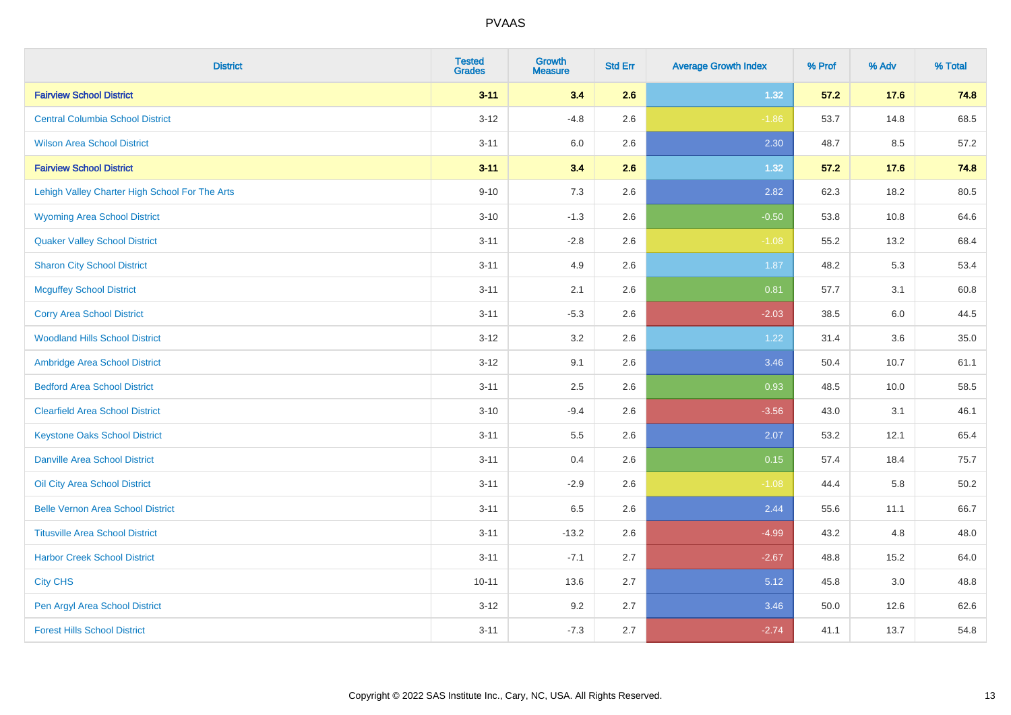| <b>District</b>                                | <b>Tested</b><br><b>Grades</b> | <b>Growth</b><br><b>Measure</b> | <b>Std Err</b> | <b>Average Growth Index</b> | % Prof | % Adv | % Total  |
|------------------------------------------------|--------------------------------|---------------------------------|----------------|-----------------------------|--------|-------|----------|
| <b>Fairview School District</b>                | $3 - 11$                       | 3.4                             | 2.6            | 1.32                        | 57.2   | 17.6  | 74.8     |
| <b>Central Columbia School District</b>        | $3 - 12$                       | $-4.8$                          | 2.6            | $-1.86$                     | 53.7   | 14.8  | 68.5     |
| <b>Wilson Area School District</b>             | $3 - 11$                       | 6.0                             | 2.6            | 2.30                        | 48.7   | 8.5   | 57.2     |
| <b>Fairview School District</b>                | $3 - 11$                       | 3.4                             | 2.6            | 1.32                        | 57.2   | 17.6  | 74.8     |
| Lehigh Valley Charter High School For The Arts | $9 - 10$                       | 7.3                             | 2.6            | 2.82                        | 62.3   | 18.2  | 80.5     |
| <b>Wyoming Area School District</b>            | $3 - 10$                       | $-1.3$                          | 2.6            | $-0.50$                     | 53.8   | 10.8  | 64.6     |
| <b>Quaker Valley School District</b>           | $3 - 11$                       | $-2.8$                          | 2.6            | $-1.08$                     | 55.2   | 13.2  | 68.4     |
| <b>Sharon City School District</b>             | $3 - 11$                       | 4.9                             | 2.6            | 1.87                        | 48.2   | 5.3   | 53.4     |
| <b>Mcguffey School District</b>                | $3 - 11$                       | 2.1                             | 2.6            | 0.81                        | 57.7   | 3.1   | 60.8     |
| <b>Corry Area School District</b>              | $3 - 11$                       | $-5.3$                          | 2.6            | $-2.03$                     | 38.5   | 6.0   | 44.5     |
| <b>Woodland Hills School District</b>          | $3 - 12$                       | 3.2                             | 2.6            | 1.22                        | 31.4   | 3.6   | 35.0     |
| Ambridge Area School District                  | $3 - 12$                       | 9.1                             | 2.6            | 3.46                        | 50.4   | 10.7  | 61.1     |
| <b>Bedford Area School District</b>            | $3 - 11$                       | 2.5                             | 2.6            | 0.93                        | 48.5   | 10.0  | 58.5     |
| <b>Clearfield Area School District</b>         | $3 - 10$                       | $-9.4$                          | 2.6            | $-3.56$                     | 43.0   | 3.1   | 46.1     |
| <b>Keystone Oaks School District</b>           | $3 - 11$                       | 5.5                             | 2.6            | 2.07                        | 53.2   | 12.1  | 65.4     |
| <b>Danville Area School District</b>           | $3 - 11$                       | 0.4                             | 2.6            | 0.15                        | 57.4   | 18.4  | 75.7     |
| Oil City Area School District                  | $3 - 11$                       | $-2.9$                          | 2.6            | $-1.08$                     | 44.4   | 5.8   | $50.2\,$ |
| <b>Belle Vernon Area School District</b>       | $3 - 11$                       | 6.5                             | 2.6            | 2.44                        | 55.6   | 11.1  | 66.7     |
| <b>Titusville Area School District</b>         | $3 - 11$                       | $-13.2$                         | 2.6            | $-4.99$                     | 43.2   | 4.8   | 48.0     |
| <b>Harbor Creek School District</b>            | $3 - 11$                       | $-7.1$                          | 2.7            | $-2.67$                     | 48.8   | 15.2  | 64.0     |
| <b>City CHS</b>                                | $10 - 11$                      | 13.6                            | 2.7            | 5.12                        | 45.8   | 3.0   | 48.8     |
| Pen Argyl Area School District                 | $3 - 12$                       | 9.2                             | 2.7            | 3.46                        | 50.0   | 12.6  | 62.6     |
| <b>Forest Hills School District</b>            | $3 - 11$                       | $-7.3$                          | 2.7            | $-2.74$                     | 41.1   | 13.7  | 54.8     |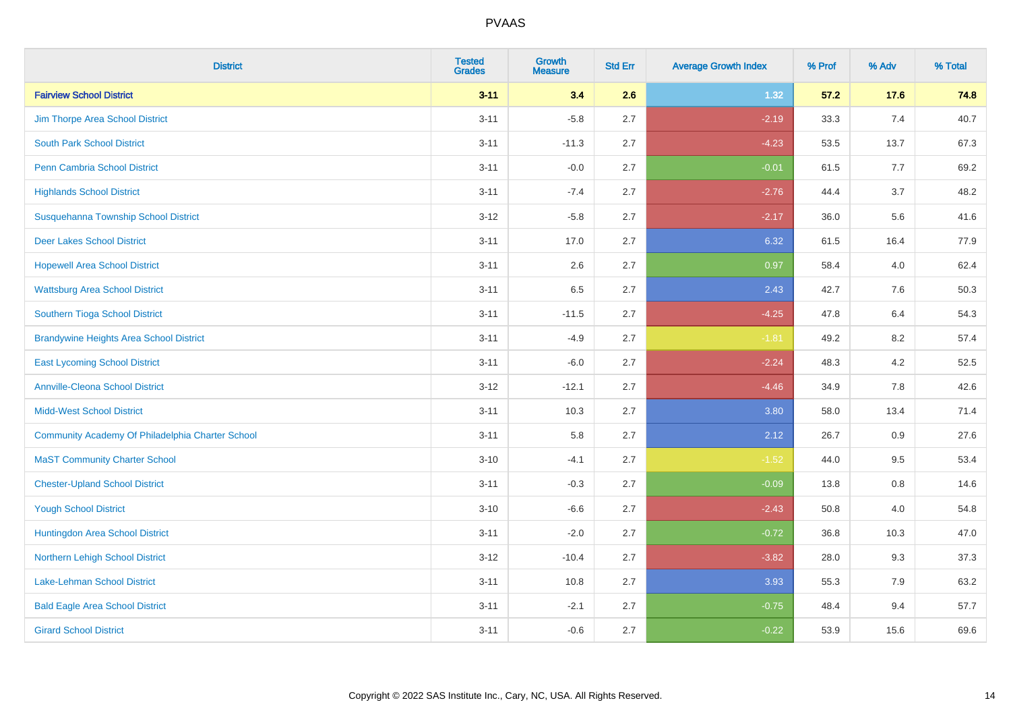| <b>District</b>                                  | <b>Tested</b><br><b>Grades</b> | Growth<br><b>Measure</b> | <b>Std Err</b> | <b>Average Growth Index</b> | % Prof | % Adv | % Total |
|--------------------------------------------------|--------------------------------|--------------------------|----------------|-----------------------------|--------|-------|---------|
| <b>Fairview School District</b>                  | $3 - 11$                       | 3.4                      | 2.6            | 1.32                        | 57.2   | 17.6  | 74.8    |
| Jim Thorpe Area School District                  | $3 - 11$                       | $-5.8$                   | 2.7            | $-2.19$                     | 33.3   | 7.4   | 40.7    |
| <b>South Park School District</b>                | $3 - 11$                       | $-11.3$                  | 2.7            | $-4.23$                     | 53.5   | 13.7  | 67.3    |
| <b>Penn Cambria School District</b>              | $3 - 11$                       | $-0.0$                   | 2.7            | $-0.01$                     | 61.5   | 7.7   | 69.2    |
| <b>Highlands School District</b>                 | $3 - 11$                       | $-7.4$                   | 2.7            | $-2.76$                     | 44.4   | 3.7   | 48.2    |
| Susquehanna Township School District             | $3 - 12$                       | $-5.8$                   | 2.7            | $-2.17$                     | 36.0   | 5.6   | 41.6    |
| <b>Deer Lakes School District</b>                | $3 - 11$                       | 17.0                     | 2.7            | 6.32                        | 61.5   | 16.4  | 77.9    |
| <b>Hopewell Area School District</b>             | $3 - 11$                       | 2.6                      | 2.7            | 0.97                        | 58.4   | 4.0   | 62.4    |
| <b>Wattsburg Area School District</b>            | $3 - 11$                       | 6.5                      | 2.7            | 2.43                        | 42.7   | 7.6   | 50.3    |
| Southern Tioga School District                   | $3 - 11$                       | $-11.5$                  | 2.7            | $-4.25$                     | 47.8   | 6.4   | 54.3    |
| <b>Brandywine Heights Area School District</b>   | $3 - 11$                       | $-4.9$                   | 2.7            | $-1.81$                     | 49.2   | 8.2   | 57.4    |
| <b>East Lycoming School District</b>             | $3 - 11$                       | $-6.0$                   | 2.7            | $-2.24$                     | 48.3   | 4.2   | 52.5    |
| <b>Annville-Cleona School District</b>           | $3 - 12$                       | $-12.1$                  | 2.7            | $-4.46$                     | 34.9   | 7.8   | 42.6    |
| <b>Midd-West School District</b>                 | $3 - 11$                       | 10.3                     | 2.7            | 3.80                        | 58.0   | 13.4  | 71.4    |
| Community Academy Of Philadelphia Charter School | $3 - 11$                       | 5.8                      | 2.7            | 2.12                        | 26.7   | 0.9   | 27.6    |
| <b>MaST Community Charter School</b>             | $3 - 10$                       | $-4.1$                   | 2.7            | $-1.52$                     | 44.0   | 9.5   | 53.4    |
| <b>Chester-Upland School District</b>            | $3 - 11$                       | $-0.3$                   | 2.7            | $-0.09$                     | 13.8   | 0.8   | 14.6    |
| <b>Yough School District</b>                     | $3 - 10$                       | $-6.6$                   | 2.7            | $-2.43$                     | 50.8   | 4.0   | 54.8    |
| Huntingdon Area School District                  | $3 - 11$                       | $-2.0$                   | 2.7            | $-0.72$                     | 36.8   | 10.3  | 47.0    |
| Northern Lehigh School District                  | $3 - 12$                       | $-10.4$                  | 2.7            | $-3.82$                     | 28.0   | 9.3   | 37.3    |
| Lake-Lehman School District                      | $3 - 11$                       | 10.8                     | 2.7            | 3.93                        | 55.3   | 7.9   | 63.2    |
| <b>Bald Eagle Area School District</b>           | $3 - 11$                       | $-2.1$                   | 2.7            | $-0.75$                     | 48.4   | 9.4   | 57.7    |
| <b>Girard School District</b>                    | $3 - 11$                       | $-0.6$                   | 2.7            | $-0.22$                     | 53.9   | 15.6  | 69.6    |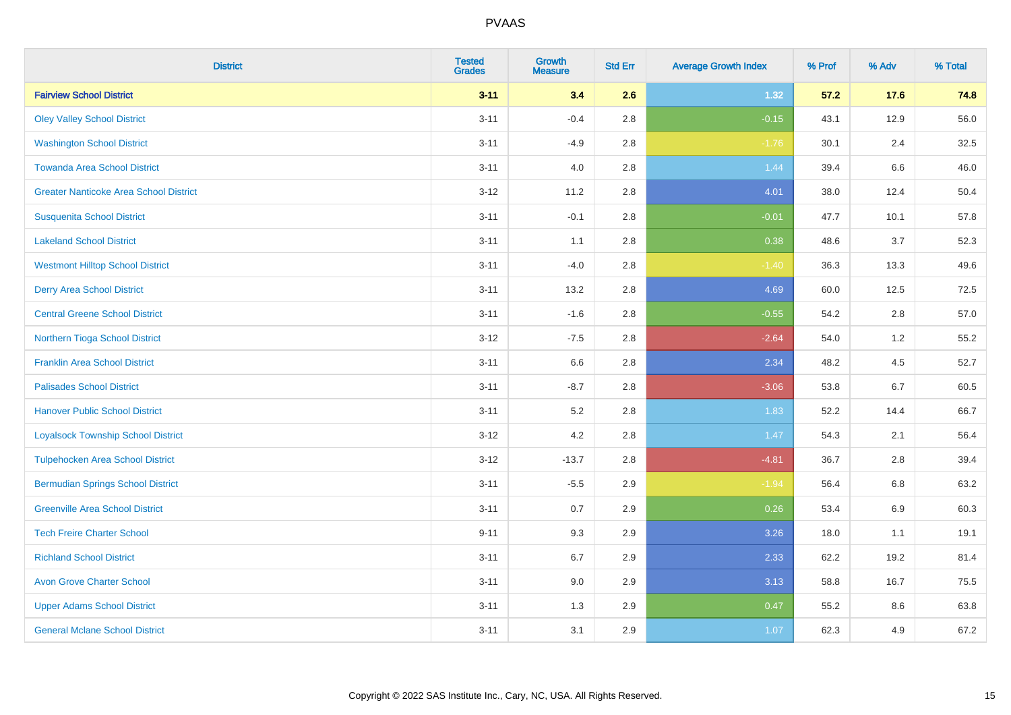| <b>District</b>                               | <b>Tested</b><br><b>Grades</b> | <b>Growth</b><br><b>Measure</b> | <b>Std Err</b> | <b>Average Growth Index</b> | % Prof | % Adv | % Total |
|-----------------------------------------------|--------------------------------|---------------------------------|----------------|-----------------------------|--------|-------|---------|
| <b>Fairview School District</b>               | $3 - 11$                       | 3.4                             | 2.6            | 1.32                        | 57.2   | 17.6  | 74.8    |
| <b>Oley Valley School District</b>            | $3 - 11$                       | $-0.4$                          | 2.8            | $-0.15$                     | 43.1   | 12.9  | 56.0    |
| <b>Washington School District</b>             | $3 - 11$                       | $-4.9$                          | 2.8            | $-1.76$                     | 30.1   | 2.4   | 32.5    |
| <b>Towanda Area School District</b>           | $3 - 11$                       | 4.0                             | 2.8            | 1.44                        | 39.4   | 6.6   | 46.0    |
| <b>Greater Nanticoke Area School District</b> | $3-12$                         | 11.2                            | 2.8            | 4.01                        | 38.0   | 12.4  | 50.4    |
| <b>Susquenita School District</b>             | $3 - 11$                       | $-0.1$                          | 2.8            | $-0.01$                     | 47.7   | 10.1  | 57.8    |
| <b>Lakeland School District</b>               | $3 - 11$                       | 1.1                             | 2.8            | 0.38                        | 48.6   | 3.7   | 52.3    |
| <b>Westmont Hilltop School District</b>       | $3 - 11$                       | $-4.0$                          | 2.8            | $-1.40$                     | 36.3   | 13.3  | 49.6    |
| <b>Derry Area School District</b>             | $3 - 11$                       | 13.2                            | 2.8            | 4.69                        | 60.0   | 12.5  | 72.5    |
| <b>Central Greene School District</b>         | $3 - 11$                       | $-1.6$                          | 2.8            | $-0.55$                     | 54.2   | 2.8   | 57.0    |
| Northern Tioga School District                | $3-12$                         | $-7.5$                          | 2.8            | $-2.64$                     | 54.0   | 1.2   | 55.2    |
| <b>Franklin Area School District</b>          | $3 - 11$                       | 6.6                             | 2.8            | 2.34                        | 48.2   | 4.5   | 52.7    |
| <b>Palisades School District</b>              | $3 - 11$                       | $-8.7$                          | 2.8            | $-3.06$                     | 53.8   | 6.7   | 60.5    |
| <b>Hanover Public School District</b>         | $3 - 11$                       | 5.2                             | 2.8            | 1.83                        | 52.2   | 14.4  | 66.7    |
| <b>Loyalsock Township School District</b>     | $3-12$                         | 4.2                             | 2.8            | 1.47                        | 54.3   | 2.1   | 56.4    |
| <b>Tulpehocken Area School District</b>       | $3 - 12$                       | $-13.7$                         | 2.8            | $-4.81$                     | 36.7   | 2.8   | 39.4    |
| <b>Bermudian Springs School District</b>      | $3 - 11$                       | $-5.5$                          | 2.9            | $-1.94$                     | 56.4   | 6.8   | 63.2    |
| <b>Greenville Area School District</b>        | $3 - 11$                       | 0.7                             | 2.9            | 0.26                        | 53.4   | 6.9   | 60.3    |
| <b>Tech Freire Charter School</b>             | $9 - 11$                       | 9.3                             | 2.9            | 3.26                        | 18.0   | 1.1   | 19.1    |
| <b>Richland School District</b>               | $3 - 11$                       | 6.7                             | 2.9            | 2.33                        | 62.2   | 19.2  | 81.4    |
| <b>Avon Grove Charter School</b>              | $3 - 11$                       | 9.0                             | 2.9            | 3.13                        | 58.8   | 16.7  | 75.5    |
| <b>Upper Adams School District</b>            | $3 - 11$                       | 1.3                             | 2.9            | 0.47                        | 55.2   | 8.6   | 63.8    |
| <b>General Mclane School District</b>         | $3 - 11$                       | 3.1                             | 2.9            | 1.07                        | 62.3   | 4.9   | 67.2    |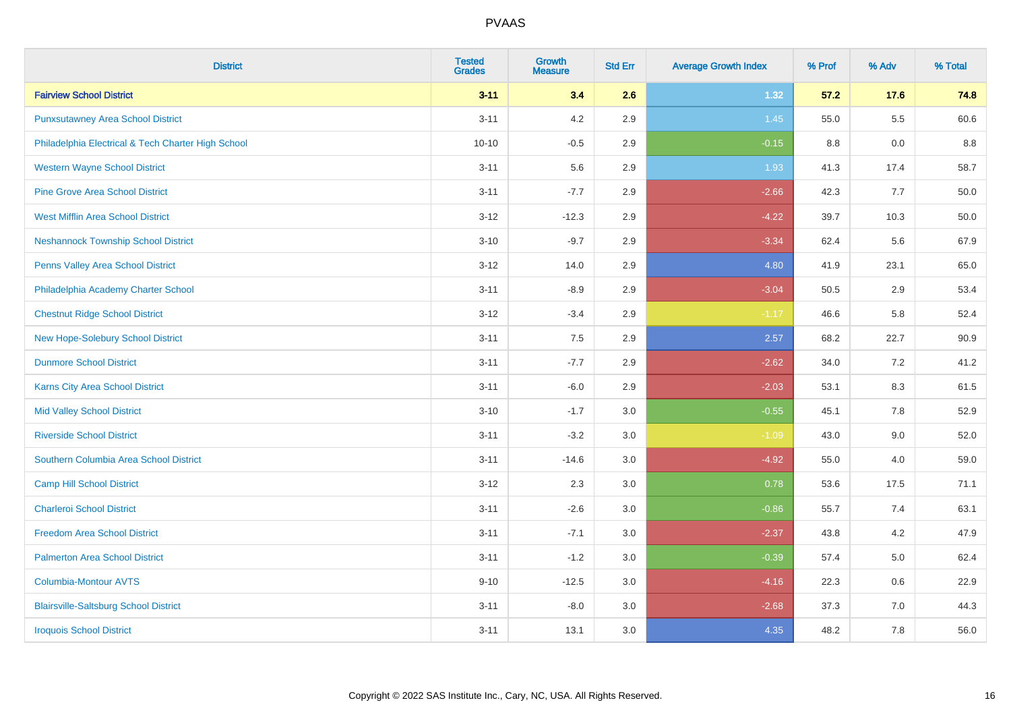| <b>District</b>                                    | <b>Tested</b><br><b>Grades</b> | <b>Growth</b><br><b>Measure</b> | <b>Std Err</b> | <b>Average Growth Index</b> | % Prof | % Adv   | % Total |
|----------------------------------------------------|--------------------------------|---------------------------------|----------------|-----------------------------|--------|---------|---------|
| <b>Fairview School District</b>                    | $3 - 11$                       | 3.4                             | 2.6            | 1.32                        | 57.2   | 17.6    | 74.8    |
| <b>Punxsutawney Area School District</b>           | $3 - 11$                       | 4.2                             | 2.9            | 1.45                        | 55.0   | $5.5\,$ | 60.6    |
| Philadelphia Electrical & Tech Charter High School | $10 - 10$                      | $-0.5$                          | 2.9            | $-0.15$                     | 8.8    | 0.0     | $8.8\,$ |
| <b>Western Wayne School District</b>               | $3 - 11$                       | 5.6                             | 2.9            | 1.93                        | 41.3   | 17.4    | 58.7    |
| <b>Pine Grove Area School District</b>             | $3 - 11$                       | $-7.7$                          | 2.9            | $-2.66$                     | 42.3   | 7.7     | 50.0    |
| <b>West Mifflin Area School District</b>           | $3 - 12$                       | $-12.3$                         | 2.9            | $-4.22$                     | 39.7   | 10.3    | 50.0    |
| <b>Neshannock Township School District</b>         | $3 - 10$                       | $-9.7$                          | 2.9            | $-3.34$                     | 62.4   | 5.6     | 67.9    |
| <b>Penns Valley Area School District</b>           | $3 - 12$                       | 14.0                            | 2.9            | 4.80                        | 41.9   | 23.1    | 65.0    |
| Philadelphia Academy Charter School                | $3 - 11$                       | $-8.9$                          | 2.9            | $-3.04$                     | 50.5   | 2.9     | 53.4    |
| <b>Chestnut Ridge School District</b>              | $3 - 12$                       | $-3.4$                          | 2.9            | $-1.17$                     | 46.6   | 5.8     | 52.4    |
| New Hope-Solebury School District                  | $3 - 11$                       | 7.5                             | 2.9            | 2.57                        | 68.2   | 22.7    | 90.9    |
| <b>Dunmore School District</b>                     | $3 - 11$                       | $-7.7$                          | 2.9            | $-2.62$                     | 34.0   | 7.2     | 41.2    |
| Karns City Area School District                    | $3 - 11$                       | $-6.0$                          | 2.9            | $-2.03$                     | 53.1   | 8.3     | 61.5    |
| <b>Mid Valley School District</b>                  | $3 - 10$                       | $-1.7$                          | 3.0            | $-0.55$                     | 45.1   | $7.8\,$ | 52.9    |
| <b>Riverside School District</b>                   | $3 - 11$                       | $-3.2$                          | 3.0            | $-1.09$                     | 43.0   | 9.0     | 52.0    |
| Southern Columbia Area School District             | $3 - 11$                       | $-14.6$                         | 3.0            | $-4.92$                     | 55.0   | 4.0     | 59.0    |
| <b>Camp Hill School District</b>                   | $3 - 12$                       | 2.3                             | 3.0            | 0.78                        | 53.6   | 17.5    | 71.1    |
| <b>Charleroi School District</b>                   | $3 - 11$                       | $-2.6$                          | 3.0            | $-0.86$                     | 55.7   | 7.4     | 63.1    |
| <b>Freedom Area School District</b>                | $3 - 11$                       | $-7.1$                          | 3.0            | $-2.37$                     | 43.8   | 4.2     | 47.9    |
| <b>Palmerton Area School District</b>              | $3 - 11$                       | $-1.2$                          | 3.0            | $-0.39$                     | 57.4   | 5.0     | 62.4    |
| <b>Columbia-Montour AVTS</b>                       | $9 - 10$                       | $-12.5$                         | 3.0            | $-4.16$                     | 22.3   | 0.6     | 22.9    |
| <b>Blairsville-Saltsburg School District</b>       | $3 - 11$                       | $-8.0$                          | 3.0            | $-2.68$                     | 37.3   | 7.0     | 44.3    |
| <b>Iroquois School District</b>                    | $3 - 11$                       | 13.1                            | 3.0            | 4.35                        | 48.2   | 7.8     | 56.0    |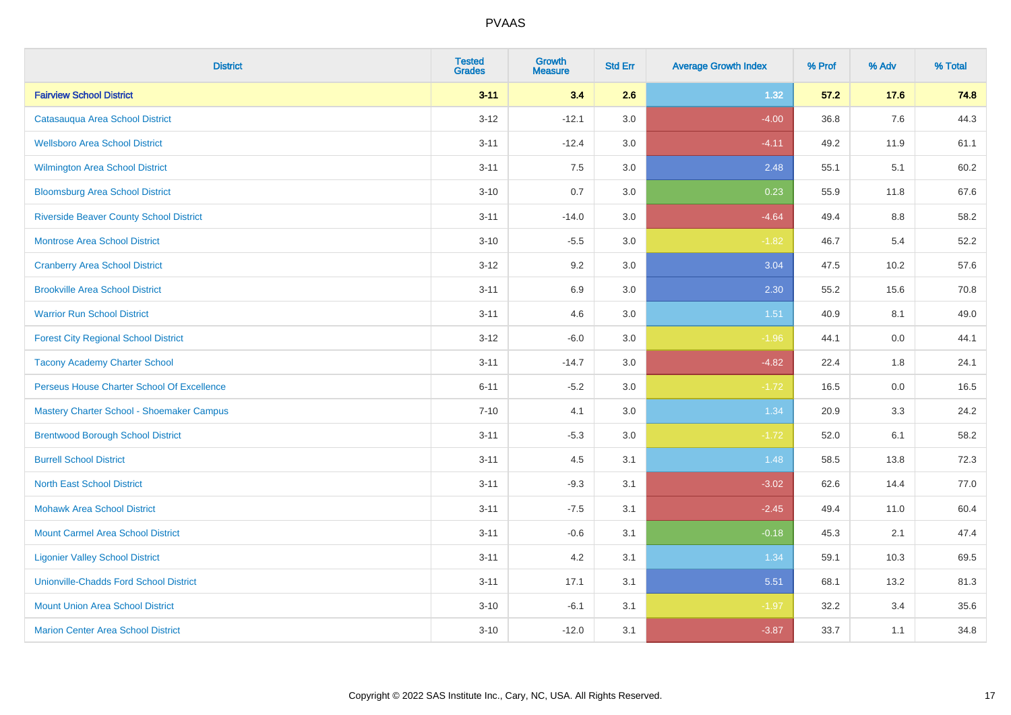| <b>District</b>                                | <b>Tested</b><br><b>Grades</b> | <b>Growth</b><br><b>Measure</b> | <b>Std Err</b> | <b>Average Growth Index</b> | % Prof | % Adv | % Total |
|------------------------------------------------|--------------------------------|---------------------------------|----------------|-----------------------------|--------|-------|---------|
| <b>Fairview School District</b>                | $3 - 11$                       | 3.4                             | 2.6            | 1.32                        | 57.2   | 17.6  | 74.8    |
| Catasauqua Area School District                | $3 - 12$                       | $-12.1$                         | 3.0            | $-4.00$                     | 36.8   | 7.6   | 44.3    |
| <b>Wellsboro Area School District</b>          | $3 - 11$                       | $-12.4$                         | 3.0            | $-4.11$                     | 49.2   | 11.9  | 61.1    |
| <b>Wilmington Area School District</b>         | $3 - 11$                       | 7.5                             | 3.0            | 2.48                        | 55.1   | 5.1   | 60.2    |
| <b>Bloomsburg Area School District</b>         | $3 - 10$                       | 0.7                             | 3.0            | 0.23                        | 55.9   | 11.8  | 67.6    |
| <b>Riverside Beaver County School District</b> | $3 - 11$                       | $-14.0$                         | 3.0            | $-4.64$                     | 49.4   | 8.8   | 58.2    |
| <b>Montrose Area School District</b>           | $3 - 10$                       | $-5.5$                          | 3.0            | $-1.82$                     | 46.7   | 5.4   | 52.2    |
| <b>Cranberry Area School District</b>          | $3 - 12$                       | 9.2                             | 3.0            | 3.04                        | 47.5   | 10.2  | 57.6    |
| <b>Brookville Area School District</b>         | $3 - 11$                       | 6.9                             | 3.0            | 2.30                        | 55.2   | 15.6  | 70.8    |
| <b>Warrior Run School District</b>             | $3 - 11$                       | 4.6                             | 3.0            | 1.51                        | 40.9   | 8.1   | 49.0    |
| <b>Forest City Regional School District</b>    | $3 - 12$                       | $-6.0$                          | 3.0            | $-1.96$                     | 44.1   | 0.0   | 44.1    |
| <b>Tacony Academy Charter School</b>           | $3 - 11$                       | $-14.7$                         | 3.0            | $-4.82$                     | 22.4   | 1.8   | 24.1    |
| Perseus House Charter School Of Excellence     | $6 - 11$                       | $-5.2$                          | 3.0            | $-1.72$                     | 16.5   | 0.0   | 16.5    |
| Mastery Charter School - Shoemaker Campus      | $7 - 10$                       | 4.1                             | 3.0            | 1.34                        | 20.9   | 3.3   | 24.2    |
| <b>Brentwood Borough School District</b>       | $3 - 11$                       | $-5.3$                          | 3.0            | $-1.72$                     | 52.0   | 6.1   | 58.2    |
| <b>Burrell School District</b>                 | $3 - 11$                       | 4.5                             | 3.1            | 1.48                        | 58.5   | 13.8  | 72.3    |
| <b>North East School District</b>              | $3 - 11$                       | $-9.3$                          | 3.1            | $-3.02$                     | 62.6   | 14.4  | 77.0    |
| <b>Mohawk Area School District</b>             | $3 - 11$                       | $-7.5$                          | 3.1            | $-2.45$                     | 49.4   | 11.0  | 60.4    |
| <b>Mount Carmel Area School District</b>       | $3 - 11$                       | $-0.6$                          | 3.1            | $-0.18$                     | 45.3   | 2.1   | 47.4    |
| <b>Ligonier Valley School District</b>         | $3 - 11$                       | 4.2                             | 3.1            | 1.34                        | 59.1   | 10.3  | 69.5    |
| <b>Unionville-Chadds Ford School District</b>  | $3 - 11$                       | 17.1                            | 3.1            | 5.51                        | 68.1   | 13.2  | 81.3    |
| <b>Mount Union Area School District</b>        | $3 - 10$                       | $-6.1$                          | 3.1            | $-1.97$                     | 32.2   | 3.4   | 35.6    |
| <b>Marion Center Area School District</b>      | $3 - 10$                       | $-12.0$                         | 3.1            | $-3.87$                     | 33.7   | 1.1   | 34.8    |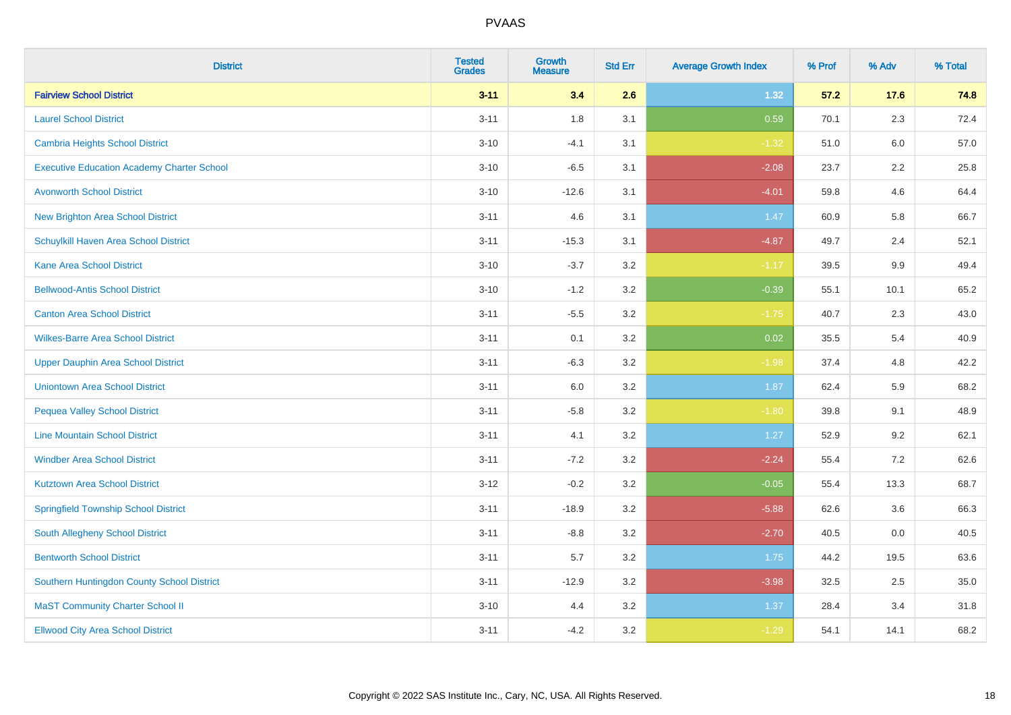| <b>District</b>                                   | <b>Tested</b><br><b>Grades</b> | Growth<br><b>Measure</b> | <b>Std Err</b> | <b>Average Growth Index</b> | % Prof | % Adv   | % Total |
|---------------------------------------------------|--------------------------------|--------------------------|----------------|-----------------------------|--------|---------|---------|
| <b>Fairview School District</b>                   | $3 - 11$                       | 3.4                      | 2.6            | 1.32                        | 57.2   | 17.6    | 74.8    |
| <b>Laurel School District</b>                     | $3 - 11$                       | 1.8                      | 3.1            | 0.59                        | 70.1   | 2.3     | 72.4    |
| Cambria Heights School District                   | $3 - 10$                       | $-4.1$                   | 3.1            | $-1.32$                     | 51.0   | 6.0     | 57.0    |
| <b>Executive Education Academy Charter School</b> | $3 - 10$                       | $-6.5$                   | 3.1            | $-2.08$                     | 23.7   | $2.2\,$ | 25.8    |
| <b>Avonworth School District</b>                  | $3 - 10$                       | $-12.6$                  | 3.1            | $-4.01$                     | 59.8   | 4.6     | 64.4    |
| <b>New Brighton Area School District</b>          | $3 - 11$                       | 4.6                      | 3.1            | 1.47                        | 60.9   | 5.8     | 66.7    |
| Schuylkill Haven Area School District             | $3 - 11$                       | $-15.3$                  | 3.1            | $-4.87$                     | 49.7   | 2.4     | 52.1    |
| <b>Kane Area School District</b>                  | $3 - 10$                       | $-3.7$                   | 3.2            | $-1.17$                     | 39.5   | 9.9     | 49.4    |
| <b>Bellwood-Antis School District</b>             | $3 - 10$                       | $-1.2$                   | 3.2            | $-0.39$                     | 55.1   | 10.1    | 65.2    |
| <b>Canton Area School District</b>                | $3 - 11$                       | $-5.5$                   | 3.2            | $-1.75$                     | 40.7   | 2.3     | 43.0    |
| <b>Wilkes-Barre Area School District</b>          | $3 - 11$                       | 0.1                      | 3.2            | 0.02                        | 35.5   | 5.4     | 40.9    |
| <b>Upper Dauphin Area School District</b>         | $3 - 11$                       | $-6.3$                   | 3.2            | $-1.98$                     | 37.4   | 4.8     | 42.2    |
| <b>Uniontown Area School District</b>             | $3 - 11$                       | 6.0                      | $3.2\,$        | 1.87                        | 62.4   | 5.9     | 68.2    |
| <b>Pequea Valley School District</b>              | $3 - 11$                       | $-5.8$                   | 3.2            | $-1.80$                     | 39.8   | 9.1     | 48.9    |
| <b>Line Mountain School District</b>              | $3 - 11$                       | 4.1                      | 3.2            | 1.27                        | 52.9   | 9.2     | 62.1    |
| <b>Windber Area School District</b>               | $3 - 11$                       | $-7.2$                   | 3.2            | $-2.24$                     | 55.4   | 7.2     | 62.6    |
| <b>Kutztown Area School District</b>              | $3 - 12$                       | $-0.2$                   | 3.2            | $-0.05$                     | 55.4   | 13.3    | 68.7    |
| <b>Springfield Township School District</b>       | $3 - 11$                       | $-18.9$                  | 3.2            | $-5.88$                     | 62.6   | 3.6     | 66.3    |
| South Allegheny School District                   | $3 - 11$                       | $-8.8$                   | 3.2            | $-2.70$                     | 40.5   | 0.0     | 40.5    |
| <b>Bentworth School District</b>                  | $3 - 11$                       | 5.7                      | 3.2            | 1.75                        | 44.2   | 19.5    | 63.6    |
| Southern Huntingdon County School District        | $3 - 11$                       | $-12.9$                  | 3.2            | $-3.98$                     | 32.5   | 2.5     | 35.0    |
| <b>MaST Community Charter School II</b>           | $3 - 10$                       | 4.4                      | 3.2            | 1.37                        | 28.4   | 3.4     | 31.8    |
| <b>Ellwood City Area School District</b>          | $3 - 11$                       | $-4.2$                   | 3.2            | $-1.29$                     | 54.1   | 14.1    | 68.2    |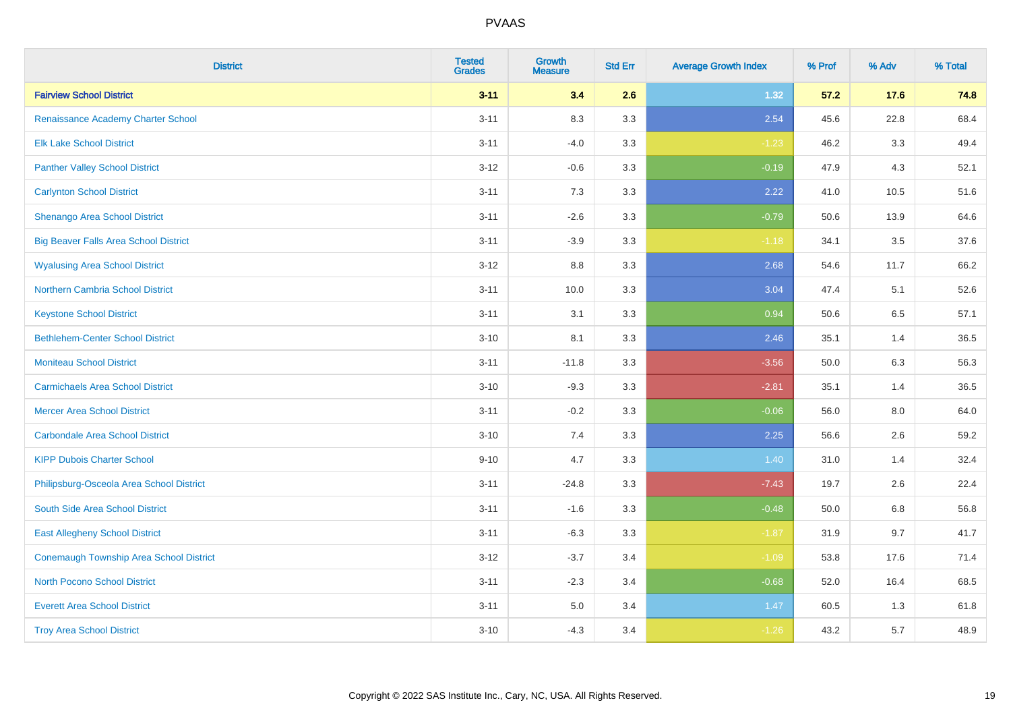| <b>District</b>                              | <b>Tested</b><br><b>Grades</b> | Growth<br><b>Measure</b> | <b>Std Err</b> | <b>Average Growth Index</b> | % Prof | % Adv   | % Total |
|----------------------------------------------|--------------------------------|--------------------------|----------------|-----------------------------|--------|---------|---------|
| <b>Fairview School District</b>              | $3 - 11$                       | 3.4                      | 2.6            | 1.32                        | 57.2   | 17.6    | 74.8    |
| Renaissance Academy Charter School           | $3 - 11$                       | 8.3                      | 3.3            | 2.54                        | 45.6   | 22.8    | 68.4    |
| <b>Elk Lake School District</b>              | $3 - 11$                       | $-4.0$                   | 3.3            | $-1.23$                     | 46.2   | 3.3     | 49.4    |
| <b>Panther Valley School District</b>        | $3 - 12$                       | $-0.6$                   | 3.3            | $-0.19$                     | 47.9   | 4.3     | 52.1    |
| <b>Carlynton School District</b>             | $3 - 11$                       | 7.3                      | 3.3            | 2.22                        | 41.0   | 10.5    | 51.6    |
| <b>Shenango Area School District</b>         | $3 - 11$                       | $-2.6$                   | 3.3            | $-0.79$                     | 50.6   | 13.9    | 64.6    |
| <b>Big Beaver Falls Area School District</b> | $3 - 11$                       | $-3.9$                   | 3.3            | $-1.18$                     | 34.1   | 3.5     | 37.6    |
| <b>Wyalusing Area School District</b>        | $3 - 12$                       | $8.8\,$                  | 3.3            | 2.68                        | 54.6   | 11.7    | 66.2    |
| <b>Northern Cambria School District</b>      | $3 - 11$                       | 10.0                     | 3.3            | 3.04                        | 47.4   | 5.1     | 52.6    |
| <b>Keystone School District</b>              | $3 - 11$                       | 3.1                      | 3.3            | 0.94                        | 50.6   | 6.5     | 57.1    |
| <b>Bethlehem-Center School District</b>      | $3 - 10$                       | 8.1                      | 3.3            | 2.46                        | 35.1   | 1.4     | 36.5    |
| <b>Moniteau School District</b>              | $3 - 11$                       | $-11.8$                  | 3.3            | $-3.56$                     | 50.0   | 6.3     | 56.3    |
| <b>Carmichaels Area School District</b>      | $3 - 10$                       | $-9.3$                   | 3.3            | $-2.81$                     | 35.1   | 1.4     | 36.5    |
| <b>Mercer Area School District</b>           | $3 - 11$                       | $-0.2$                   | 3.3            | $-0.06$                     | 56.0   | $8.0\,$ | 64.0    |
| <b>Carbondale Area School District</b>       | $3 - 10$                       | 7.4                      | 3.3            | 2.25                        | 56.6   | 2.6     | 59.2    |
| <b>KIPP Dubois Charter School</b>            | $9 - 10$                       | 4.7                      | 3.3            | 1.40                        | 31.0   | 1.4     | 32.4    |
| Philipsburg-Osceola Area School District     | $3 - 11$                       | $-24.8$                  | 3.3            | $-7.43$                     | 19.7   | 2.6     | 22.4    |
| South Side Area School District              | $3 - 11$                       | $-1.6$                   | 3.3            | $-0.48$                     | 50.0   | 6.8     | 56.8    |
| <b>East Allegheny School District</b>        | $3 - 11$                       | $-6.3$                   | 3.3            | $-1.87$                     | 31.9   | 9.7     | 41.7    |
| Conemaugh Township Area School District      | $3 - 12$                       | $-3.7$                   | 3.4            | $-1.09$                     | 53.8   | 17.6    | 71.4    |
| <b>North Pocono School District</b>          | $3 - 11$                       | $-2.3$                   | 3.4            | $-0.68$                     | 52.0   | 16.4    | 68.5    |
| <b>Everett Area School District</b>          | $3 - 11$                       | 5.0                      | 3.4            | 1.47                        | 60.5   | 1.3     | 61.8    |
| <b>Troy Area School District</b>             | $3 - 10$                       | $-4.3$                   | 3.4            | $-1.26$                     | 43.2   | 5.7     | 48.9    |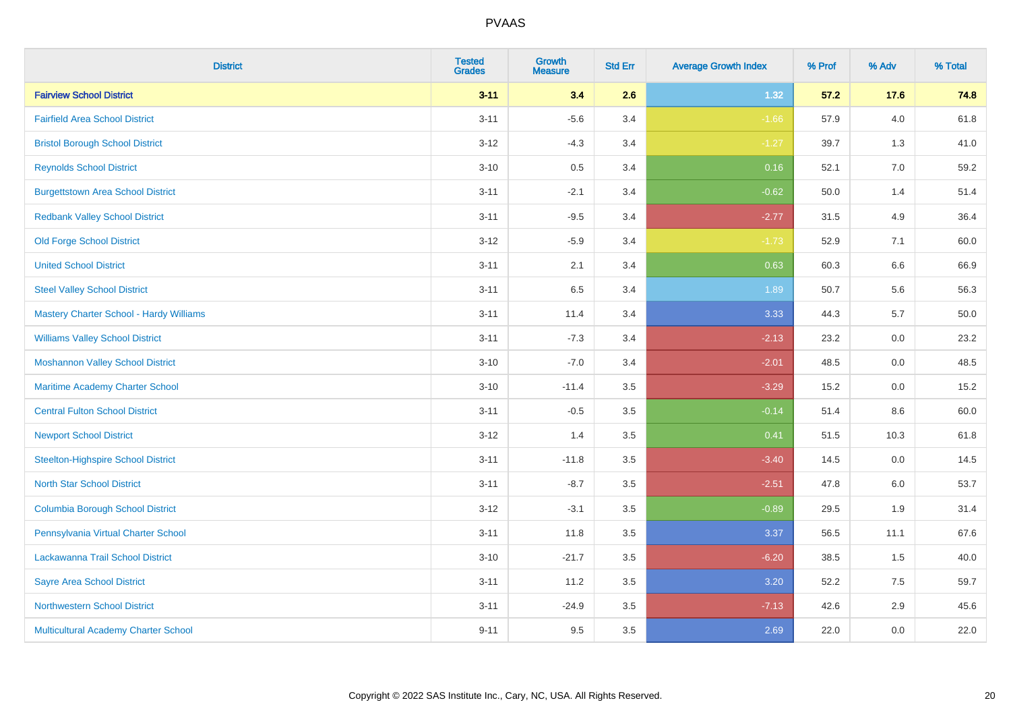| <b>District</b>                           | <b>Tested</b><br><b>Grades</b> | <b>Growth</b><br><b>Measure</b> | <b>Std Err</b> | <b>Average Growth Index</b> | % Prof | % Adv   | % Total  |
|-------------------------------------------|--------------------------------|---------------------------------|----------------|-----------------------------|--------|---------|----------|
| <b>Fairview School District</b>           | $3 - 11$                       | 3.4                             | 2.6            | 1.32                        | 57.2   | 17.6    | 74.8     |
| <b>Fairfield Area School District</b>     | $3 - 11$                       | $-5.6$                          | 3.4            | $-1.66$                     | 57.9   | 4.0     | 61.8     |
| <b>Bristol Borough School District</b>    | $3 - 12$                       | $-4.3$                          | 3.4            | $-1.27$                     | 39.7   | 1.3     | 41.0     |
| <b>Reynolds School District</b>           | $3 - 10$                       | 0.5                             | 3.4            | 0.16                        | 52.1   | 7.0     | 59.2     |
| <b>Burgettstown Area School District</b>  | $3 - 11$                       | $-2.1$                          | 3.4            | $-0.62$                     | 50.0   | 1.4     | 51.4     |
| <b>Redbank Valley School District</b>     | $3 - 11$                       | $-9.5$                          | 3.4            | $-2.77$                     | 31.5   | 4.9     | 36.4     |
| <b>Old Forge School District</b>          | $3 - 12$                       | $-5.9$                          | 3.4            | $-1.73$                     | 52.9   | 7.1     | 60.0     |
| <b>United School District</b>             | $3 - 11$                       | 2.1                             | 3.4            | 0.63                        | 60.3   | 6.6     | 66.9     |
| <b>Steel Valley School District</b>       | $3 - 11$                       | 6.5                             | 3.4            | 1.89                        | 50.7   | 5.6     | 56.3     |
| Mastery Charter School - Hardy Williams   | $3 - 11$                       | 11.4                            | 3.4            | 3.33                        | 44.3   | 5.7     | $50.0\,$ |
| <b>Williams Valley School District</b>    | $3 - 11$                       | $-7.3$                          | 3.4            | $-2.13$                     | 23.2   | 0.0     | 23.2     |
| <b>Moshannon Valley School District</b>   | $3 - 10$                       | $-7.0$                          | 3.4            | $-2.01$                     | 48.5   | 0.0     | 48.5     |
| Maritime Academy Charter School           | $3 - 10$                       | $-11.4$                         | 3.5            | $-3.29$                     | 15.2   | 0.0     | 15.2     |
| <b>Central Fulton School District</b>     | $3 - 11$                       | $-0.5$                          | 3.5            | $-0.14$                     | 51.4   | $8.6\,$ | 60.0     |
| <b>Newport School District</b>            | $3 - 12$                       | 1.4                             | 3.5            | 0.41                        | 51.5   | 10.3    | 61.8     |
| <b>Steelton-Highspire School District</b> | $3 - 11$                       | $-11.8$                         | 3.5            | $-3.40$                     | 14.5   | 0.0     | 14.5     |
| <b>North Star School District</b>         | $3 - 11$                       | $-8.7$                          | 3.5            | $-2.51$                     | 47.8   | 6.0     | 53.7     |
| <b>Columbia Borough School District</b>   | $3 - 12$                       | $-3.1$                          | 3.5            | $-0.89$                     | 29.5   | 1.9     | 31.4     |
| Pennsylvania Virtual Charter School       | $3 - 11$                       | 11.8                            | 3.5            | 3.37                        | 56.5   | 11.1    | 67.6     |
| Lackawanna Trail School District          | $3 - 10$                       | $-21.7$                         | 3.5            | $-6.20$                     | 38.5   | 1.5     | 40.0     |
| <b>Sayre Area School District</b>         | $3 - 11$                       | 11.2                            | 3.5            | 3.20                        | 52.2   | 7.5     | 59.7     |
| <b>Northwestern School District</b>       | $3 - 11$                       | $-24.9$                         | 3.5            | $-7.13$                     | 42.6   | 2.9     | 45.6     |
| Multicultural Academy Charter School      | $9 - 11$                       | 9.5                             | 3.5            | 2.69                        | 22.0   | 0.0     | 22.0     |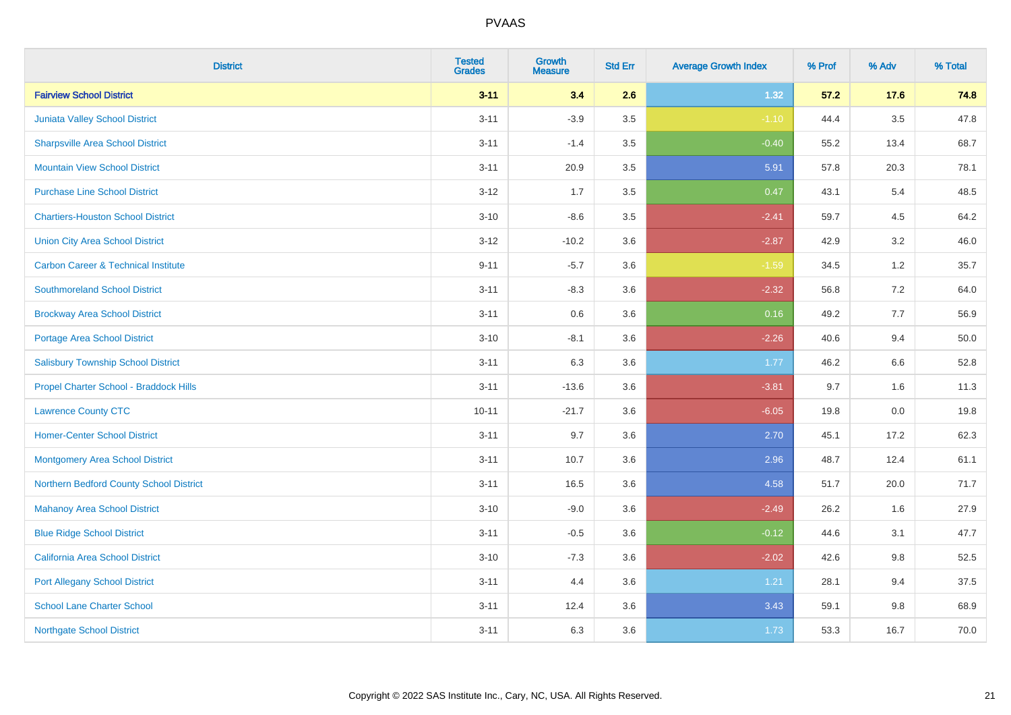| <b>District</b>                                | <b>Tested</b><br><b>Grades</b> | <b>Growth</b><br><b>Measure</b> | <b>Std Err</b> | <b>Average Growth Index</b> | % Prof | % Adv   | % Total |
|------------------------------------------------|--------------------------------|---------------------------------|----------------|-----------------------------|--------|---------|---------|
| <b>Fairview School District</b>                | $3 - 11$                       | 3.4                             | 2.6            | 1.32                        | 57.2   | 17.6    | 74.8    |
| Juniata Valley School District                 | $3 - 11$                       | $-3.9$                          | 3.5            | $-1.10$                     | 44.4   | $3.5\,$ | 47.8    |
| <b>Sharpsville Area School District</b>        | $3 - 11$                       | $-1.4$                          | 3.5            | $-0.40$                     | 55.2   | 13.4    | 68.7    |
| <b>Mountain View School District</b>           | $3 - 11$                       | 20.9                            | 3.5            | 5.91                        | 57.8   | 20.3    | 78.1    |
| <b>Purchase Line School District</b>           | $3 - 12$                       | 1.7                             | 3.5            | 0.47                        | 43.1   | 5.4     | 48.5    |
| <b>Chartiers-Houston School District</b>       | $3 - 10$                       | $-8.6$                          | 3.5            | $-2.41$                     | 59.7   | 4.5     | 64.2    |
| <b>Union City Area School District</b>         | $3 - 12$                       | $-10.2$                         | 3.6            | $-2.87$                     | 42.9   | 3.2     | 46.0    |
| <b>Carbon Career &amp; Technical Institute</b> | $9 - 11$                       | $-5.7$                          | 3.6            | $-1.59$                     | 34.5   | 1.2     | 35.7    |
| <b>Southmoreland School District</b>           | $3 - 11$                       | $-8.3$                          | 3.6            | $-2.32$                     | 56.8   | 7.2     | 64.0    |
| <b>Brockway Area School District</b>           | $3 - 11$                       | 0.6                             | 3.6            | 0.16                        | 49.2   | 7.7     | 56.9    |
| Portage Area School District                   | $3 - 10$                       | $-8.1$                          | 3.6            | $-2.26$                     | 40.6   | 9.4     | 50.0    |
| <b>Salisbury Township School District</b>      | $3 - 11$                       | 6.3                             | 3.6            | 1.77                        | 46.2   | 6.6     | 52.8    |
| Propel Charter School - Braddock Hills         | $3 - 11$                       | $-13.6$                         | 3.6            | $-3.81$                     | 9.7    | 1.6     | 11.3    |
| <b>Lawrence County CTC</b>                     | $10 - 11$                      | $-21.7$                         | 3.6            | $-6.05$                     | 19.8   | $0.0\,$ | 19.8    |
| <b>Homer-Center School District</b>            | $3 - 11$                       | 9.7                             | 3.6            | 2.70                        | 45.1   | 17.2    | 62.3    |
| <b>Montgomery Area School District</b>         | $3 - 11$                       | 10.7                            | 3.6            | 2.96                        | 48.7   | 12.4    | 61.1    |
| Northern Bedford County School District        | $3 - 11$                       | 16.5                            | 3.6            | 4.58                        | 51.7   | 20.0    | 71.7    |
| <b>Mahanoy Area School District</b>            | $3 - 10$                       | $-9.0$                          | 3.6            | $-2.49$                     | 26.2   | 1.6     | 27.9    |
| <b>Blue Ridge School District</b>              | $3 - 11$                       | $-0.5$                          | 3.6            | $-0.12$                     | 44.6   | 3.1     | 47.7    |
| California Area School District                | $3 - 10$                       | $-7.3$                          | 3.6            | $-2.02$                     | 42.6   | 9.8     | 52.5    |
| <b>Port Allegany School District</b>           | $3 - 11$                       | 4.4                             | 3.6            | 1.21                        | 28.1   | 9.4     | 37.5    |
| <b>School Lane Charter School</b>              | $3 - 11$                       | 12.4                            | 3.6            | 3.43                        | 59.1   | 9.8     | 68.9    |
| <b>Northgate School District</b>               | $3 - 11$                       | 6.3                             | 3.6            | 1.73                        | 53.3   | 16.7    | 70.0    |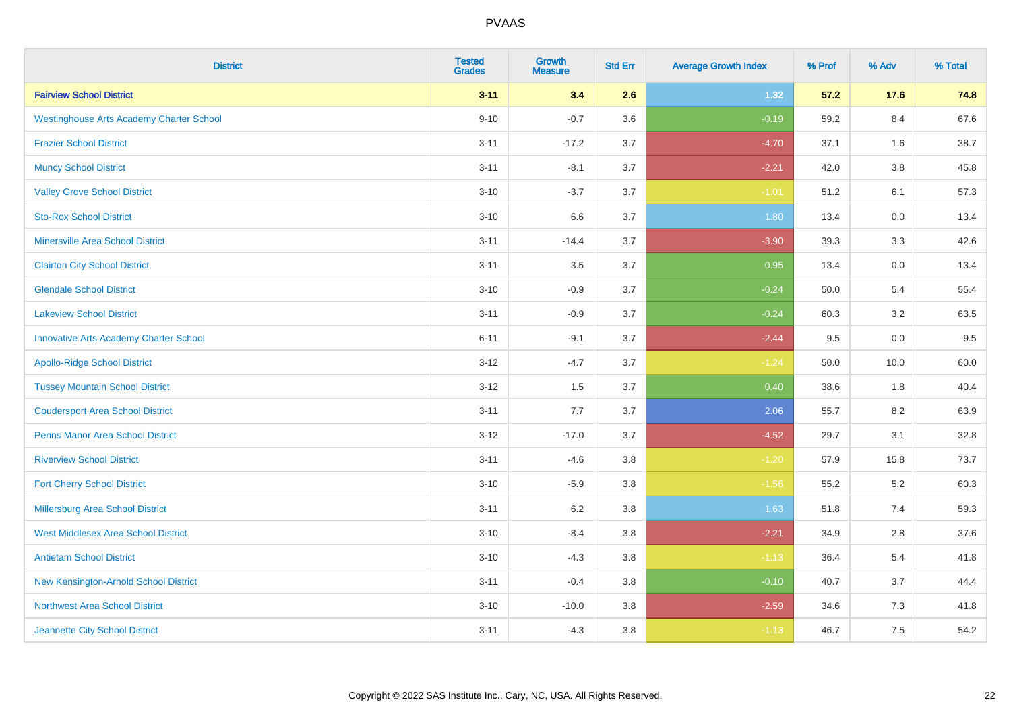| <b>District</b>                                 | <b>Tested</b><br><b>Grades</b> | <b>Growth</b><br><b>Measure</b> | <b>Std Err</b> | <b>Average Growth Index</b> | % Prof | % Adv   | % Total |
|-------------------------------------------------|--------------------------------|---------------------------------|----------------|-----------------------------|--------|---------|---------|
| <b>Fairview School District</b>                 | $3 - 11$                       | 3.4                             | 2.6            | 1.32                        | 57.2   | 17.6    | 74.8    |
| <b>Westinghouse Arts Academy Charter School</b> | $9 - 10$                       | $-0.7$                          | 3.6            | $-0.19$                     | 59.2   | 8.4     | 67.6    |
| <b>Frazier School District</b>                  | $3 - 11$                       | $-17.2$                         | 3.7            | $-4.70$                     | 37.1   | 1.6     | 38.7    |
| <b>Muncy School District</b>                    | $3 - 11$                       | $-8.1$                          | 3.7            | $-2.21$                     | 42.0   | $3.8\,$ | 45.8    |
| <b>Valley Grove School District</b>             | $3 - 10$                       | $-3.7$                          | 3.7            | $-1.01$                     | 51.2   | 6.1     | 57.3    |
| <b>Sto-Rox School District</b>                  | $3 - 10$                       | 6.6                             | 3.7            | 1.80                        | 13.4   | 0.0     | 13.4    |
| <b>Minersville Area School District</b>         | $3 - 11$                       | $-14.4$                         | 3.7            | $-3.90$                     | 39.3   | 3.3     | 42.6    |
| <b>Clairton City School District</b>            | $3 - 11$                       | 3.5                             | 3.7            | 0.95                        | 13.4   | 0.0     | 13.4    |
| <b>Glendale School District</b>                 | $3 - 10$                       | $-0.9$                          | 3.7            | $-0.24$                     | 50.0   | 5.4     | 55.4    |
| <b>Lakeview School District</b>                 | $3 - 11$                       | $-0.9$                          | 3.7            | $-0.24$                     | 60.3   | $3.2\,$ | 63.5    |
| <b>Innovative Arts Academy Charter School</b>   | $6 - 11$                       | $-9.1$                          | 3.7            | $-2.44$                     | 9.5    | 0.0     | 9.5     |
| <b>Apollo-Ridge School District</b>             | $3 - 12$                       | $-4.7$                          | 3.7            | $-1.24$                     | 50.0   | 10.0    | 60.0    |
| <b>Tussey Mountain School District</b>          | $3 - 12$                       | 1.5                             | 3.7            | 0.40                        | 38.6   | 1.8     | 40.4    |
| <b>Coudersport Area School District</b>         | $3 - 11$                       | $7.7\,$                         | 3.7            | 2.06                        | 55.7   | 8.2     | 63.9    |
| <b>Penns Manor Area School District</b>         | $3 - 12$                       | $-17.0$                         | 3.7            | $-4.52$                     | 29.7   | 3.1     | 32.8    |
| <b>Riverview School District</b>                | $3 - 11$                       | $-4.6$                          | 3.8            | $-1.20$                     | 57.9   | 15.8    | 73.7    |
| <b>Fort Cherry School District</b>              | $3 - 10$                       | $-5.9$                          | 3.8            | $-1.56$                     | 55.2   | 5.2     | 60.3    |
| Millersburg Area School District                | $3 - 11$                       | $6.2\,$                         | 3.8            | 1.63                        | 51.8   | 7.4     | 59.3    |
| <b>West Middlesex Area School District</b>      | $3 - 10$                       | $-8.4$                          | $3.8\,$        | $-2.21$                     | 34.9   | 2.8     | 37.6    |
| <b>Antietam School District</b>                 | $3 - 10$                       | $-4.3$                          | 3.8            | $-1.13$                     | 36.4   | 5.4     | 41.8    |
| New Kensington-Arnold School District           | $3 - 11$                       | $-0.4$                          | 3.8            | $-0.10$                     | 40.7   | 3.7     | 44.4    |
| Northwest Area School District                  | $3 - 10$                       | $-10.0$                         | 3.8            | $-2.59$                     | 34.6   | 7.3     | 41.8    |
| Jeannette City School District                  | $3 - 11$                       | $-4.3$                          | 3.8            | $-1.13$                     | 46.7   | 7.5     | 54.2    |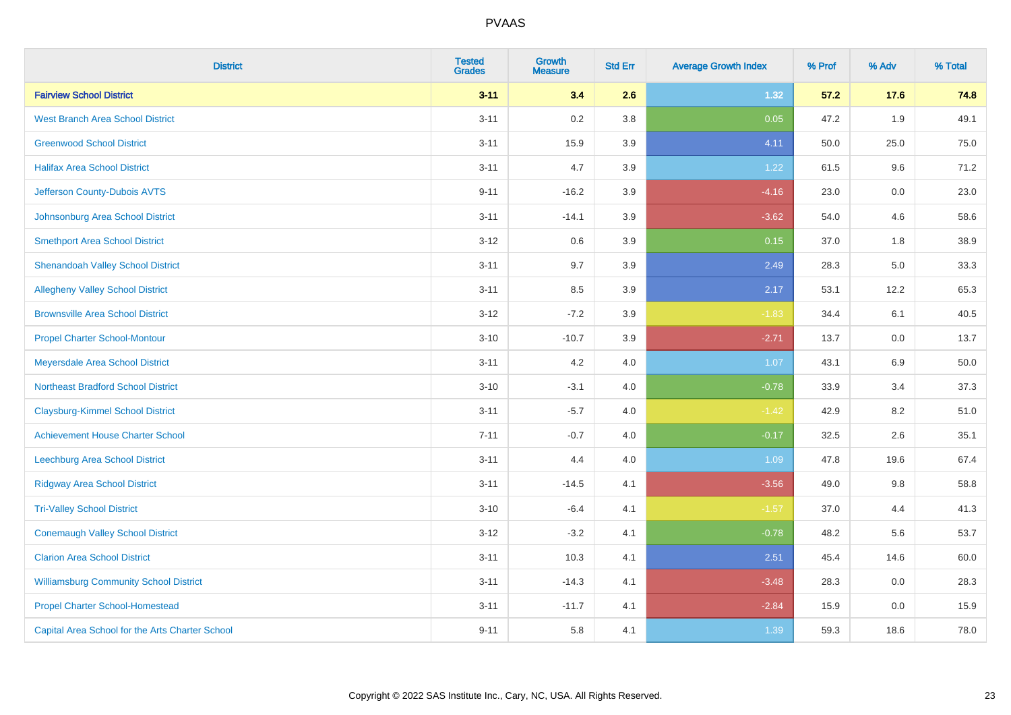| <b>District</b>                                 | <b>Tested</b><br><b>Grades</b> | <b>Growth</b><br><b>Measure</b> | <b>Std Err</b> | <b>Average Growth Index</b> | % Prof | % Adv | % Total |
|-------------------------------------------------|--------------------------------|---------------------------------|----------------|-----------------------------|--------|-------|---------|
| <b>Fairview School District</b>                 | $3 - 11$                       | 3.4                             | 2.6            | 1.32                        | 57.2   | 17.6  | 74.8    |
| <b>West Branch Area School District</b>         | $3 - 11$                       | 0.2                             | 3.8            | 0.05                        | 47.2   | 1.9   | 49.1    |
| <b>Greenwood School District</b>                | $3 - 11$                       | 15.9                            | 3.9            | 4.11                        | 50.0   | 25.0  | 75.0    |
| <b>Halifax Area School District</b>             | $3 - 11$                       | 4.7                             | 3.9            | 1.22                        | 61.5   | 9.6   | 71.2    |
| Jefferson County-Dubois AVTS                    | $9 - 11$                       | $-16.2$                         | 3.9            | $-4.16$                     | 23.0   | 0.0   | 23.0    |
| Johnsonburg Area School District                | $3 - 11$                       | $-14.1$                         | 3.9            | $-3.62$                     | 54.0   | 4.6   | 58.6    |
| <b>Smethport Area School District</b>           | $3-12$                         | 0.6                             | 3.9            | 0.15                        | 37.0   | 1.8   | 38.9    |
| <b>Shenandoah Valley School District</b>        | $3 - 11$                       | 9.7                             | 3.9            | 2.49                        | 28.3   | 5.0   | 33.3    |
| <b>Allegheny Valley School District</b>         | $3 - 11$                       | 8.5                             | 3.9            | 2.17                        | 53.1   | 12.2  | 65.3    |
| <b>Brownsville Area School District</b>         | $3 - 12$                       | $-7.2$                          | 3.9            | $-1.83$                     | 34.4   | 6.1   | 40.5    |
| <b>Propel Charter School-Montour</b>            | $3 - 10$                       | $-10.7$                         | 3.9            | $-2.71$                     | 13.7   | 0.0   | 13.7    |
| Meyersdale Area School District                 | $3 - 11$                       | 4.2                             | 4.0            | 1.07                        | 43.1   | 6.9   | 50.0    |
| <b>Northeast Bradford School District</b>       | $3 - 10$                       | $-3.1$                          | 4.0            | $-0.78$                     | 33.9   | 3.4   | 37.3    |
| <b>Claysburg-Kimmel School District</b>         | $3 - 11$                       | $-5.7$                          | 4.0            | $-1.42$                     | 42.9   | 8.2   | 51.0    |
| <b>Achievement House Charter School</b>         | $7 - 11$                       | $-0.7$                          | 4.0            | $-0.17$                     | 32.5   | 2.6   | 35.1    |
| Leechburg Area School District                  | $3 - 11$                       | 4.4                             | 4.0            | 1.09                        | 47.8   | 19.6  | 67.4    |
| <b>Ridgway Area School District</b>             | $3 - 11$                       | $-14.5$                         | 4.1            | $-3.56$                     | 49.0   | 9.8   | 58.8    |
| <b>Tri-Valley School District</b>               | $3 - 10$                       | $-6.4$                          | 4.1            | $-1.57$                     | 37.0   | 4.4   | 41.3    |
| <b>Conemaugh Valley School District</b>         | $3 - 12$                       | $-3.2$                          | 4.1            | $-0.78$                     | 48.2   | 5.6   | 53.7    |
| <b>Clarion Area School District</b>             | $3 - 11$                       | 10.3                            | 4.1            | 2.51                        | 45.4   | 14.6  | 60.0    |
| <b>Williamsburg Community School District</b>   | $3 - 11$                       | $-14.3$                         | 4.1            | $-3.48$                     | 28.3   | 0.0   | 28.3    |
| <b>Propel Charter School-Homestead</b>          | $3 - 11$                       | $-11.7$                         | 4.1            | $-2.84$                     | 15.9   | 0.0   | 15.9    |
| Capital Area School for the Arts Charter School | $9 - 11$                       | 5.8                             | 4.1            | 1.39                        | 59.3   | 18.6  | 78.0    |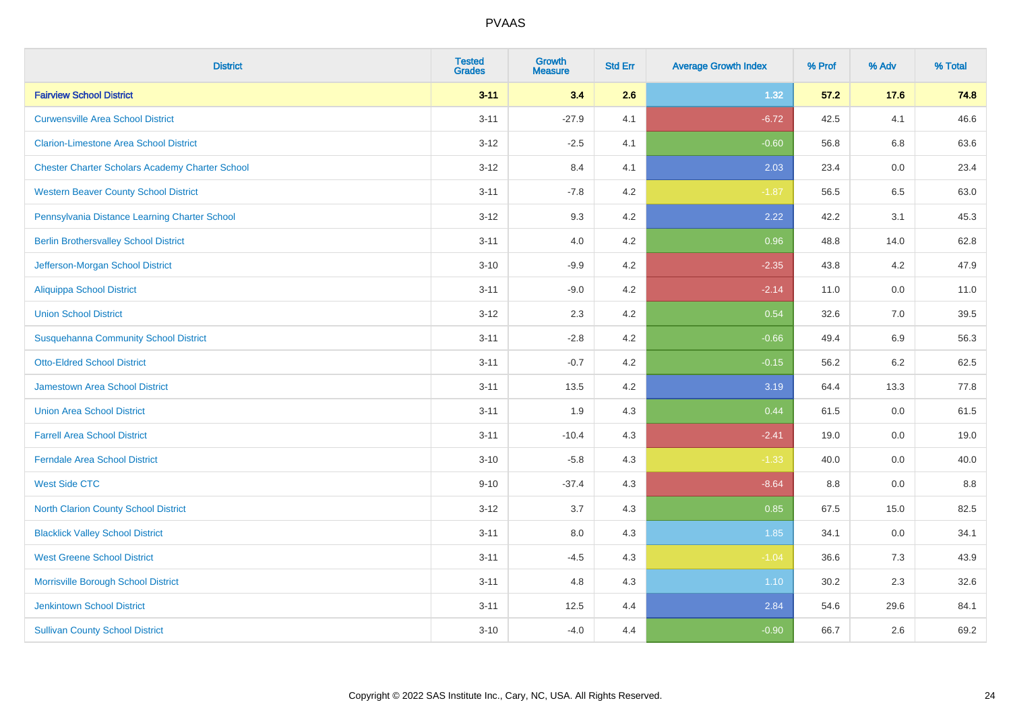| <b>District</b>                                        | <b>Tested</b><br><b>Grades</b> | <b>Growth</b><br><b>Measure</b> | <b>Std Err</b> | <b>Average Growth Index</b> | % Prof | % Adv   | % Total |
|--------------------------------------------------------|--------------------------------|---------------------------------|----------------|-----------------------------|--------|---------|---------|
| <b>Fairview School District</b>                        | $3 - 11$                       | 3.4                             | 2.6            | 1.32                        | 57.2   | 17.6    | 74.8    |
| <b>Curwensville Area School District</b>               | $3 - 11$                       | $-27.9$                         | 4.1            | $-6.72$                     | 42.5   | 4.1     | 46.6    |
| <b>Clarion-Limestone Area School District</b>          | $3 - 12$                       | $-2.5$                          | 4.1            | $-0.60$                     | 56.8   | 6.8     | 63.6    |
| <b>Chester Charter Scholars Academy Charter School</b> | $3 - 12$                       | 8.4                             | 4.1            | 2.03                        | 23.4   | 0.0     | 23.4    |
| <b>Western Beaver County School District</b>           | $3 - 11$                       | $-7.8$                          | 4.2            | $-1.87$                     | 56.5   | 6.5     | 63.0    |
| Pennsylvania Distance Learning Charter School          | $3 - 12$                       | 9.3                             | 4.2            | 2.22                        | 42.2   | 3.1     | 45.3    |
| <b>Berlin Brothersvalley School District</b>           | $3 - 11$                       | 4.0                             | 4.2            | 0.96                        | 48.8   | 14.0    | 62.8    |
| Jefferson-Morgan School District                       | $3 - 10$                       | $-9.9$                          | 4.2            | $-2.35$                     | 43.8   | 4.2     | 47.9    |
| <b>Aliquippa School District</b>                       | $3 - 11$                       | $-9.0$                          | 4.2            | $-2.14$                     | 11.0   | 0.0     | 11.0    |
| <b>Union School District</b>                           | $3 - 12$                       | 2.3                             | 4.2            | 0.54                        | 32.6   | 7.0     | 39.5    |
| <b>Susquehanna Community School District</b>           | $3 - 11$                       | $-2.8$                          | 4.2            | $-0.66$                     | 49.4   | 6.9     | 56.3    |
| <b>Otto-Eldred School District</b>                     | $3 - 11$                       | $-0.7$                          | 4.2            | $-0.15$                     | 56.2   | $6.2\,$ | 62.5    |
| <b>Jamestown Area School District</b>                  | $3 - 11$                       | 13.5                            | 4.2            | 3.19                        | 64.4   | 13.3    | 77.8    |
| <b>Union Area School District</b>                      | $3 - 11$                       | 1.9                             | 4.3            | 0.44                        | 61.5   | 0.0     | 61.5    |
| <b>Farrell Area School District</b>                    | $3 - 11$                       | $-10.4$                         | 4.3            | $-2.41$                     | 19.0   | 0.0     | 19.0    |
| <b>Ferndale Area School District</b>                   | $3 - 10$                       | $-5.8$                          | 4.3            | $-1.33$                     | 40.0   | $0.0\,$ | 40.0    |
| <b>West Side CTC</b>                                   | $9 - 10$                       | $-37.4$                         | 4.3            | $-8.64$                     | 8.8    | 0.0     | $8.8\,$ |
| <b>North Clarion County School District</b>            | $3 - 12$                       | 3.7                             | 4.3            | 0.85                        | 67.5   | 15.0    | 82.5    |
| <b>Blacklick Valley School District</b>                | $3 - 11$                       | 8.0                             | 4.3            | 1.85                        | 34.1   | 0.0     | 34.1    |
| <b>West Greene School District</b>                     | $3 - 11$                       | $-4.5$                          | 4.3            | $-1.04$                     | 36.6   | 7.3     | 43.9    |
| Morrisville Borough School District                    | $3 - 11$                       | 4.8                             | 4.3            | 1.10                        | 30.2   | 2.3     | 32.6    |
| <b>Jenkintown School District</b>                      | $3 - 11$                       | 12.5                            | 4.4            | 2.84                        | 54.6   | 29.6    | 84.1    |
| <b>Sullivan County School District</b>                 | $3 - 10$                       | $-4.0$                          | 4.4            | $-0.90$                     | 66.7   | 2.6     | 69.2    |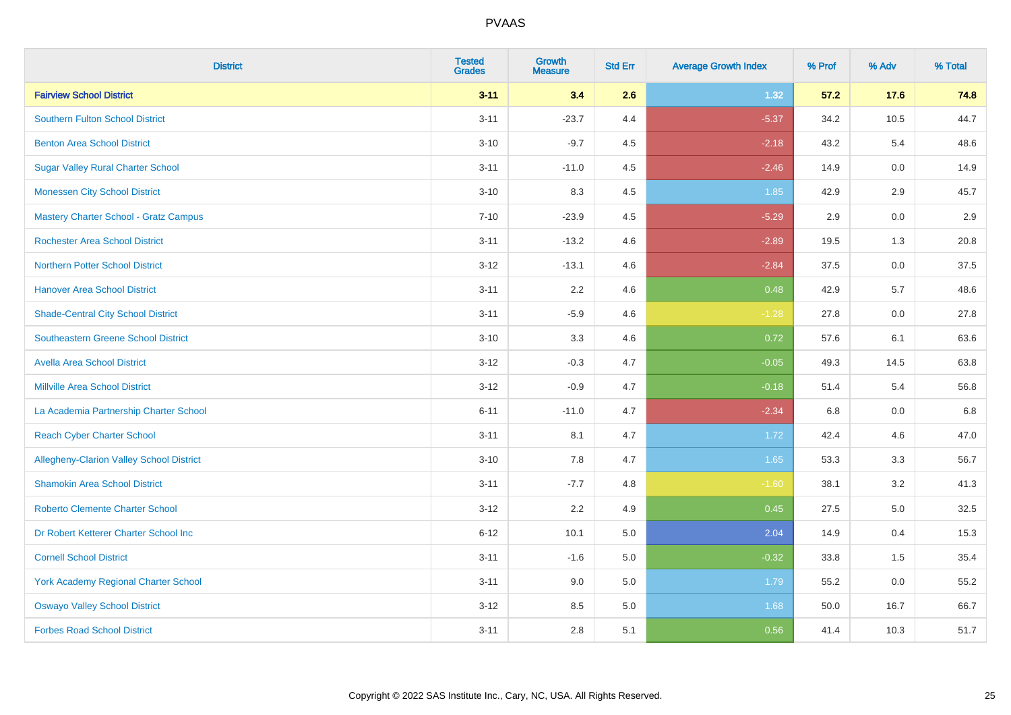| <b>District</b>                                 | <b>Tested</b><br><b>Grades</b> | <b>Growth</b><br><b>Measure</b> | <b>Std Err</b> | <b>Average Growth Index</b> | % Prof | % Adv   | % Total |
|-------------------------------------------------|--------------------------------|---------------------------------|----------------|-----------------------------|--------|---------|---------|
| <b>Fairview School District</b>                 | $3 - 11$                       | 3.4                             | 2.6            | 1.32                        | 57.2   | 17.6    | 74.8    |
| <b>Southern Fulton School District</b>          | $3 - 11$                       | $-23.7$                         | 4.4            | $-5.37$                     | 34.2   | 10.5    | 44.7    |
| <b>Benton Area School District</b>              | $3 - 10$                       | $-9.7$                          | 4.5            | $-2.18$                     | 43.2   | 5.4     | 48.6    |
| <b>Sugar Valley Rural Charter School</b>        | $3 - 11$                       | $-11.0$                         | 4.5            | $-2.46$                     | 14.9   | $0.0\,$ | 14.9    |
| <b>Monessen City School District</b>            | $3 - 10$                       | 8.3                             | 4.5            | 1.85                        | 42.9   | 2.9     | 45.7    |
| <b>Mastery Charter School - Gratz Campus</b>    | $7 - 10$                       | $-23.9$                         | 4.5            | $-5.29$                     | 2.9    | 0.0     | 2.9     |
| <b>Rochester Area School District</b>           | $3 - 11$                       | $-13.2$                         | 4.6            | $-2.89$                     | 19.5   | 1.3     | 20.8    |
| <b>Northern Potter School District</b>          | $3 - 12$                       | $-13.1$                         | 4.6            | $-2.84$                     | 37.5   | 0.0     | 37.5    |
| <b>Hanover Area School District</b>             | $3 - 11$                       | 2.2                             | 4.6            | 0.48                        | 42.9   | 5.7     | 48.6    |
| <b>Shade-Central City School District</b>       | $3 - 11$                       | $-5.9$                          | 4.6            | $-1.28$                     | 27.8   | 0.0     | 27.8    |
| <b>Southeastern Greene School District</b>      | $3 - 10$                       | 3.3                             | 4.6            | 0.72                        | 57.6   | 6.1     | 63.6    |
| <b>Avella Area School District</b>              | $3 - 12$                       | $-0.3$                          | 4.7            | $-0.05$                     | 49.3   | 14.5    | 63.8    |
| <b>Millville Area School District</b>           | $3 - 12$                       | $-0.9$                          | 4.7            | $-0.18$                     | 51.4   | 5.4     | 56.8    |
| La Academia Partnership Charter School          | $6 - 11$                       | $-11.0$                         | 4.7            | $-2.34$                     | 6.8    | 0.0     | 6.8     |
| <b>Reach Cyber Charter School</b>               | $3 - 11$                       | 8.1                             | 4.7            | 1.72                        | 42.4   | 4.6     | 47.0    |
| <b>Allegheny-Clarion Valley School District</b> | $3 - 10$                       | 7.8                             | 4.7            | 1.65                        | 53.3   | 3.3     | 56.7    |
| <b>Shamokin Area School District</b>            | $3 - 11$                       | $-7.7$                          | 4.8            | $-1.60$                     | 38.1   | 3.2     | 41.3    |
| <b>Roberto Clemente Charter School</b>          | $3 - 12$                       | 2.2                             | 4.9            | 0.45                        | 27.5   | 5.0     | 32.5    |
| Dr Robert Ketterer Charter School Inc           | $6 - 12$                       | 10.1                            | 5.0            | 2.04                        | 14.9   | 0.4     | 15.3    |
| <b>Cornell School District</b>                  | $3 - 11$                       | $-1.6$                          | 5.0            | $-0.32$                     | 33.8   | 1.5     | 35.4    |
| York Academy Regional Charter School            | $3 - 11$                       | 9.0                             | 5.0            | 1.79                        | 55.2   | 0.0     | 55.2    |
| <b>Oswayo Valley School District</b>            | $3 - 12$                       | 8.5                             | 5.0            | 1.68                        | 50.0   | 16.7    | 66.7    |
| <b>Forbes Road School District</b>              | $3 - 11$                       | 2.8                             | 5.1            | 0.56                        | 41.4   | 10.3    | 51.7    |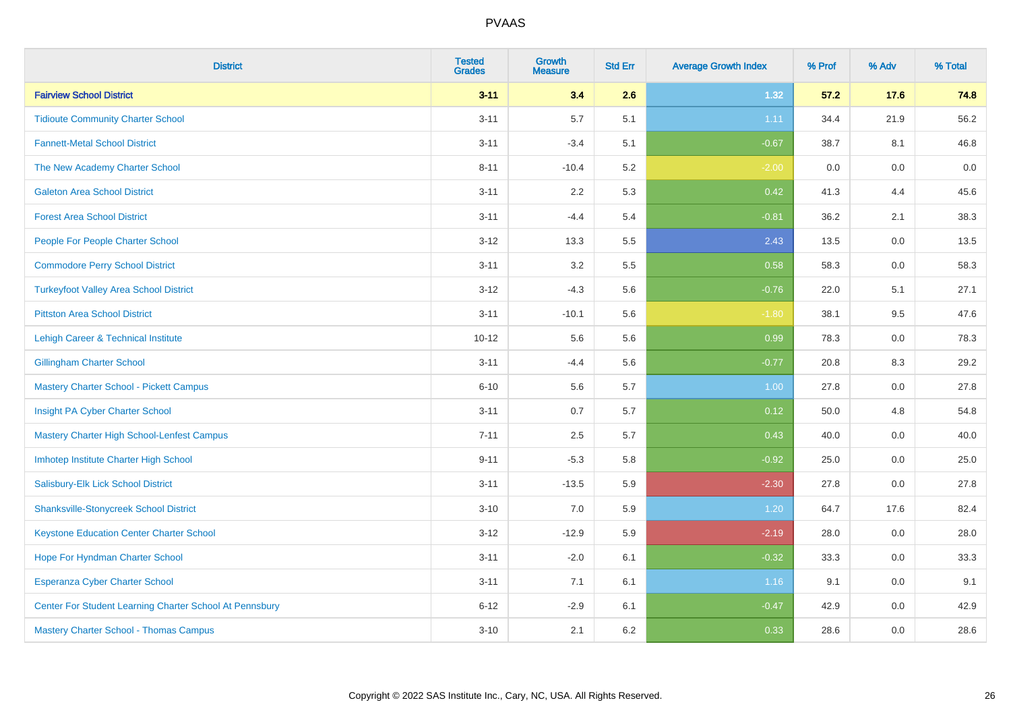| <b>District</b>                                         | <b>Tested</b><br><b>Grades</b> | <b>Growth</b><br><b>Measure</b> | <b>Std Err</b> | <b>Average Growth Index</b> | % Prof | % Adv   | % Total |
|---------------------------------------------------------|--------------------------------|---------------------------------|----------------|-----------------------------|--------|---------|---------|
| <b>Fairview School District</b>                         | $3 - 11$                       | 3.4                             | 2.6            | 1.32                        | 57.2   | 17.6    | 74.8    |
| <b>Tidioute Community Charter School</b>                | $3 - 11$                       | 5.7                             | 5.1            | 1.11                        | 34.4   | 21.9    | 56.2    |
| <b>Fannett-Metal School District</b>                    | $3 - 11$                       | $-3.4$                          | 5.1            | $-0.67$                     | 38.7   | 8.1     | 46.8    |
| The New Academy Charter School                          | $8 - 11$                       | $-10.4$                         | 5.2            | $-2.00$                     | 0.0    | $0.0\,$ | $0.0\,$ |
| <b>Galeton Area School District</b>                     | $3 - 11$                       | 2.2                             | 5.3            | 0.42                        | 41.3   | 4.4     | 45.6    |
| <b>Forest Area School District</b>                      | $3 - 11$                       | $-4.4$                          | 5.4            | $-0.81$                     | 36.2   | 2.1     | 38.3    |
| People For People Charter School                        | $3 - 12$                       | 13.3                            | 5.5            | 2.43                        | 13.5   | 0.0     | 13.5    |
| <b>Commodore Perry School District</b>                  | $3 - 11$                       | 3.2                             | 5.5            | 0.58                        | 58.3   | 0.0     | 58.3    |
| <b>Turkeyfoot Valley Area School District</b>           | $3 - 12$                       | $-4.3$                          | 5.6            | $-0.76$                     | 22.0   | 5.1     | 27.1    |
| <b>Pittston Area School District</b>                    | $3 - 11$                       | $-10.1$                         | 5.6            | $-1.80$                     | 38.1   | 9.5     | 47.6    |
| Lehigh Career & Technical Institute                     | $10 - 12$                      | 5.6                             | 5.6            | 0.99                        | 78.3   | 0.0     | 78.3    |
| <b>Gillingham Charter School</b>                        | $3 - 11$                       | $-4.4$                          | 5.6            | $-0.77$                     | 20.8   | 8.3     | 29.2    |
| <b>Mastery Charter School - Pickett Campus</b>          | $6 - 10$                       | 5.6                             | 5.7            | 1.00                        | 27.8   | 0.0     | 27.8    |
| Insight PA Cyber Charter School                         | $3 - 11$                       | 0.7                             | 5.7            | 0.12                        | 50.0   | 4.8     | 54.8    |
| Mastery Charter High School-Lenfest Campus              | $7 - 11$                       | 2.5                             | 5.7            | 0.43                        | 40.0   | 0.0     | 40.0    |
| Imhotep Institute Charter High School                   | $9 - 11$                       | $-5.3$                          | 5.8            | $-0.92$                     | 25.0   | 0.0     | 25.0    |
| Salisbury-Elk Lick School District                      | $3 - 11$                       | $-13.5$                         | 5.9            | $-2.30$                     | 27.8   | 0.0     | 27.8    |
| <b>Shanksville-Stonycreek School District</b>           | $3 - 10$                       | 7.0                             | 5.9            | 1.20                        | 64.7   | 17.6    | 82.4    |
| <b>Keystone Education Center Charter School</b>         | $3 - 12$                       | $-12.9$                         | 5.9            | $-2.19$                     | 28.0   | 0.0     | 28.0    |
| Hope For Hyndman Charter School                         | $3 - 11$                       | $-2.0$                          | 6.1            | $-0.32$                     | 33.3   | 0.0     | 33.3    |
| Esperanza Cyber Charter School                          | $3 - 11$                       | 7.1                             | 6.1            | 1.16                        | 9.1    | 0.0     | 9.1     |
| Center For Student Learning Charter School At Pennsbury | $6 - 12$                       | $-2.9$                          | 6.1            | $-0.47$                     | 42.9   | 0.0     | 42.9    |
| <b>Mastery Charter School - Thomas Campus</b>           | $3 - 10$                       | 2.1                             | 6.2            | 0.33                        | 28.6   | 0.0     | 28.6    |